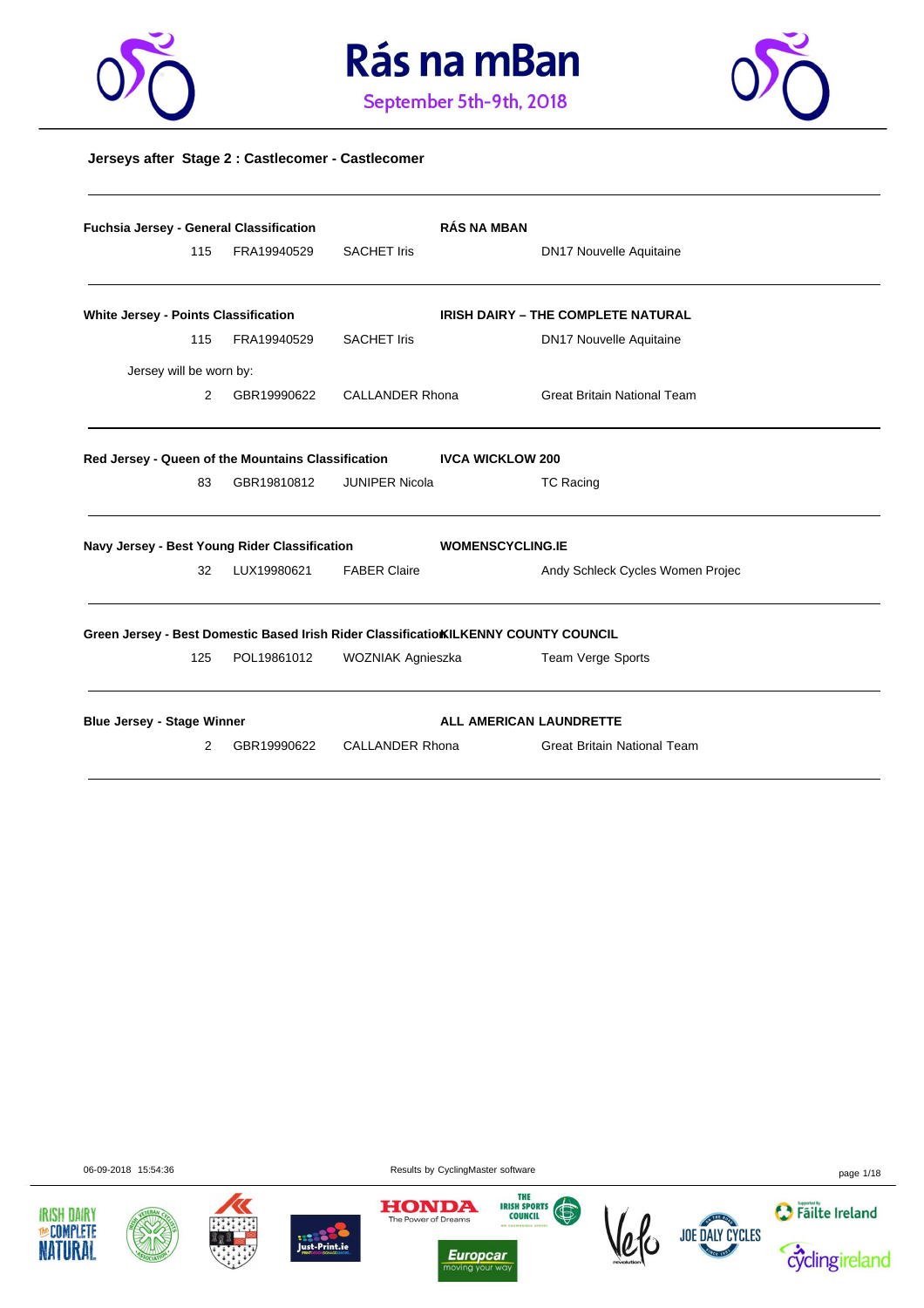





### **Jerseys after Stage 2 : Castlecomer - Castlecomer**

|                                                                                      | Fuchsia Jersey - General Classification |             |                        | <b>RÁS NA MBAN</b>      |                                           |
|--------------------------------------------------------------------------------------|-----------------------------------------|-------------|------------------------|-------------------------|-------------------------------------------|
|                                                                                      | 115                                     | FRA19940529 | <b>SACHET Iris</b>     |                         | <b>DN17 Nouvelle Aquitaine</b>            |
| White Jersey - Points Classification                                                 |                                         |             |                        |                         | <b>IRISH DAIRY - THE COMPLETE NATURAL</b> |
|                                                                                      | 115                                     | FRA19940529 | <b>SACHET Iris</b>     |                         | <b>DN17 Nouvelle Aquitaine</b>            |
| Jersey will be worn by:                                                              |                                         |             |                        |                         |                                           |
|                                                                                      | 2                                       | GBR19990622 | <b>CALLANDER Rhona</b> |                         | <b>Great Britain National Team</b>        |
| Red Jersey - Queen of the Mountains Classification                                   |                                         |             |                        | <b>IVCA WICKLOW 200</b> |                                           |
|                                                                                      | 83                                      | GBR19810812 | JUNIPER Nicola         |                         | TC Racing                                 |
| Navy Jersey - Best Young Rider Classification                                        |                                         |             |                        | <b>WOMENSCYCLING.IE</b> |                                           |
|                                                                                      | 32                                      | LUX19980621 | <b>FABER Claire</b>    |                         | Andy Schleck Cycles Women Projec          |
| Green Jersey - Best Domestic Based Irish Rider Classificatio KILKENNY COUNTY COUNCIL |                                         |             |                        |                         |                                           |
|                                                                                      | 125                                     | POL19861012 | WOZNIAK Agnieszka      |                         | Team Verge Sports                         |
| <b>Blue Jersey - Stage Winner</b>                                                    |                                         |             |                        | ALL AMERICAN LAUNDRETTE |                                           |
|                                                                                      | 2                                       | GBR19990622 | CALLANDER Rhona        |                         | <b>Great Britain National Team</b>        |

06-09-2018 15:54:36 page 1/18











 $\frac{1}{10}$ 



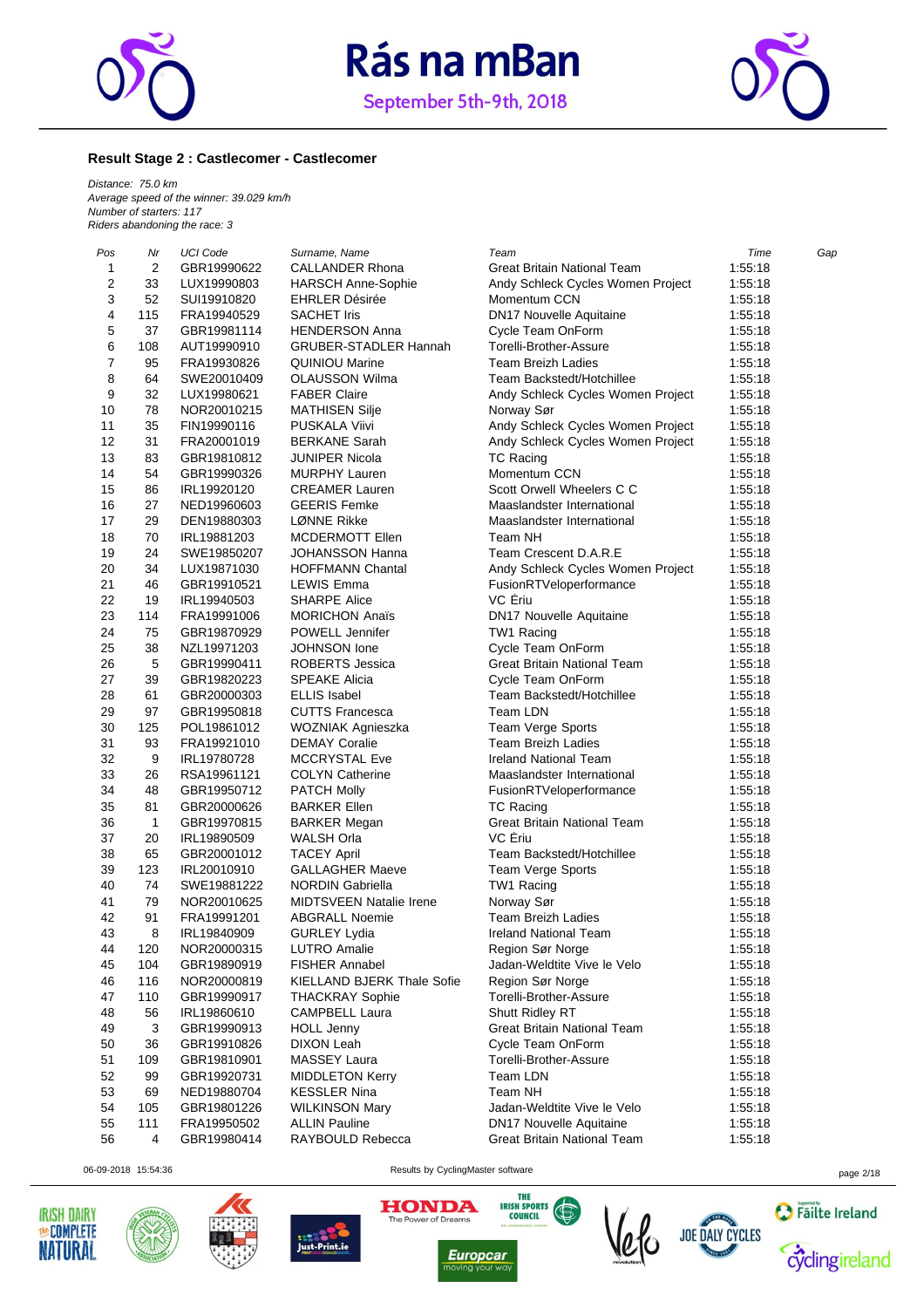



### **Result Stage 2 : Castlecomer - Castlecomer**

*Distance: 75.0 km Average speed of the winner: 39.029 km/h Number of starters: 117 Riders abandoning the race: 3*

| Pos            | Nr           | UCI Code    | Surname, Name                  | Team                              | Time    | Gap |
|----------------|--------------|-------------|--------------------------------|-----------------------------------|---------|-----|
| 1              | 2            | GBR19990622 | CALLANDER Rhona                | Great Britain National Team       | 1:55:18 |     |
| $\overline{2}$ | 33           | LUX19990803 | <b>HARSCH Anne-Sophie</b>      | Andy Schleck Cycles Women Project | 1:55:18 |     |
| 3              | 52           | SUI19910820 | <b>EHRLER Désirée</b>          | Momentum CCN                      | 1:55:18 |     |
| 4              | 115          | FRA19940529 | <b>SACHET Iris</b>             | <b>DN17 Nouvelle Aquitaine</b>    | 1:55:18 |     |
| 5              | 37           | GBR19981114 | <b>HENDERSON Anna</b>          | Cycle Team OnForm                 | 1:55:18 |     |
| 6              | 108          | AUT19990910 | <b>GRUBER-STADLER Hannah</b>   | Torelli-Brother-Assure            | 1:55:18 |     |
| $\overline{7}$ | 95           | FRA19930826 | <b>QUINIOU Marine</b>          | <b>Team Breizh Ladies</b>         | 1:55:18 |     |
| 8              | 64           | SWE20010409 | <b>OLAUSSON Wilma</b>          | Team Backstedt/Hotchillee         | 1:55:18 |     |
| 9              | 32           | LUX19980621 | <b>FABER Claire</b>            | Andy Schleck Cycles Women Project | 1:55:18 |     |
| 10             | 78           | NOR20010215 | <b>MATHISEN Silje</b>          | Norway Sør                        | 1:55:18 |     |
| 11             | 35           | FIN19990116 | PUSKALA Viivi                  | Andy Schleck Cycles Women Project | 1:55:18 |     |
| 12             | 31           | FRA20001019 | <b>BERKANE Sarah</b>           | Andy Schleck Cycles Women Project | 1:55:18 |     |
| 13             | 83           | GBR19810812 | <b>JUNIPER Nicola</b>          | <b>TC Racing</b>                  | 1:55:18 |     |
| 14             | 54           | GBR19990326 | <b>MURPHY Lauren</b>           | Momentum CCN                      | 1:55:18 |     |
| 15             | 86           | IRL19920120 | <b>CREAMER Lauren</b>          | Scott Orwell Wheelers C C         | 1:55:18 |     |
| 16             | 27           | NED19960603 | <b>GEERIS Femke</b>            | Maaslandster International        | 1:55:18 |     |
| 17             | 29           | DEN19880303 | LØNNE Rikke                    | Maaslandster International        | 1:55:18 |     |
| 18             | 70           | IRL19881203 | MCDERMOTT Ellen                | Team NH                           | 1:55:18 |     |
| 19             | 24           | SWE19850207 | <b>JOHANSSON Hanna</b>         | Team Crescent D.A.R.E             | 1:55:18 |     |
| 20             | 34           | LUX19871030 | <b>HOFFMANN Chantal</b>        | Andy Schleck Cycles Women Project | 1:55:18 |     |
| 21             | 46           | GBR19910521 | <b>LEWIS Emma</b>              | FusionRTVeloperformance           | 1:55:18 |     |
| 22             | 19           | IRL19940503 | <b>SHARPE Alice</b>            | VC Ériu                           | 1:55:18 |     |
| 23             | 114          | FRA19991006 | <b>MORICHON Anaïs</b>          | DN17 Nouvelle Aquitaine           | 1:55:18 |     |
| 24             | 75           | GBR19870929 | POWELL Jennifer                | TW1 Racing                        | 1:55:18 |     |
| 25             | 38           | NZL19971203 | <b>JOHNSON</b> lone            | Cycle Team OnForm                 | 1:55:18 |     |
| 26             | 5            | GBR19990411 | ROBERTS Jessica                | Great Britain National Team       | 1:55:18 |     |
| 27             | 39           | GBR19820223 | <b>SPEAKE Alicia</b>           | Cycle Team OnForm                 | 1:55:18 |     |
| 28             | 61           | GBR20000303 | <b>ELLIS Isabel</b>            | Team Backstedt/Hotchillee         | 1:55:18 |     |
| 29             | 97           | GBR19950818 | <b>CUTTS Francesca</b>         | Team LDN                          | 1:55:18 |     |
| 30             | 125          | POL19861012 | WOZNIAK Agnieszka              | Team Verge Sports                 | 1:55:18 |     |
| 31             | 93           | FRA19921010 | <b>DEMAY Coralie</b>           | <b>Team Breizh Ladies</b>         | 1:55:18 |     |
| 32             | 9            | IRL19780728 | <b>MCCRYSTAL Eve</b>           | <b>Ireland National Team</b>      | 1:55:18 |     |
| 33             | 26           | RSA19961121 | <b>COLYN Catherine</b>         | Maaslandster International        | 1:55:18 |     |
| 34             | 48           | GBR19950712 | <b>PATCH Molly</b>             | FusionRTVeloperformance           | 1:55:18 |     |
| 35             | 81           | GBR20000626 | <b>BARKER Ellen</b>            | <b>TC Racing</b>                  | 1:55:18 |     |
| 36             | $\mathbf{1}$ | GBR19970815 | <b>BARKER Megan</b>            | Great Britain National Team       | 1:55:18 |     |
| 37             | 20           | IRL19890509 | WALSH Orla                     | VC Eriu                           | 1:55:18 |     |
| 38             | 65           | GBR20001012 | <b>TACEY April</b>             | Team Backstedt/Hotchillee         | 1:55:18 |     |
| 39             | 123          | IRL20010910 | <b>GALLAGHER Maeve</b>         | Team Verge Sports                 | 1:55:18 |     |
| 40             | 74           | SWE19881222 | <b>NORDIN Gabriella</b>        | TW1 Racing                        | 1:55:18 |     |
| 41             | 79           | NOR20010625 | <b>MIDTSVEEN Natalie Irene</b> | Norway Sør                        | 1:55:18 |     |
| 42             | 91           | FRA19991201 | <b>ABGRALL Noemie</b>          | <b>Team Breizh Ladies</b>         | 1:55:18 |     |
| 43             | 8            | IRL19840909 | <b>GURLEY Lydia</b>            | Ireland National Team             | 1:55:18 |     |
| 44             | 120          | NOR20000315 | <b>LUTRO Amalie</b>            | Region Sør Norge                  | 1:55:18 |     |
| 45             | 104          | GBR19890919 | <b>FISHER Annabel</b>          | Jadan-Weldtite Vive le Velo       | 1:55:18 |     |
| 46             | 116          | NOR20000819 | KIELLAND BJERK Thale Sofie     | Region Sør Norge                  | 1:55:18 |     |
| 47             | 110          | GBR19990917 | <b>THACKRAY Sophie</b>         | Torelli-Brother-Assure            | 1:55:18 |     |
| 48             | 56           | IRL19860610 | <b>CAMPBELL Laura</b>          | Shutt Ridley RT                   | 1:55:18 |     |
| 49             | 3            | GBR19990913 | <b>HOLL Jenny</b>              | Great Britain National Team       | 1:55:18 |     |
| 50             | 36           | GBR19910826 | <b>DIXON Leah</b>              | Cycle Team OnForm                 | 1:55:18 |     |
| 51             | 109          | GBR19810901 | <b>MASSEY Laura</b>            | Torelli-Brother-Assure            | 1:55:18 |     |
| 52             | 99           | GBR19920731 | <b>MIDDLETON Kerry</b>         | Team LDN                          | 1:55:18 |     |
| 53             | 69           | NED19880704 | <b>KESSLER Nina</b>            | Team NH                           | 1:55:18 |     |
| 54             | 105          | GBR19801226 | <b>WILKINSON Mary</b>          | Jadan-Weldtite Vive le Velo       | 1:55:18 |     |
| 55             | 111          | FRA19950502 | <b>ALLIN Pauline</b>           | <b>DN17 Nouvelle Aquitaine</b>    | 1:55:18 |     |
| 56             | 4            | GBR19980414 | RAYBOULD Rebecca               | Great Britain National Team       | 1:55:18 |     |
|                |              |             |                                |                                   |         |     |

06-09-2018 15:54:36 Results by CyclingMaster software page 2/18











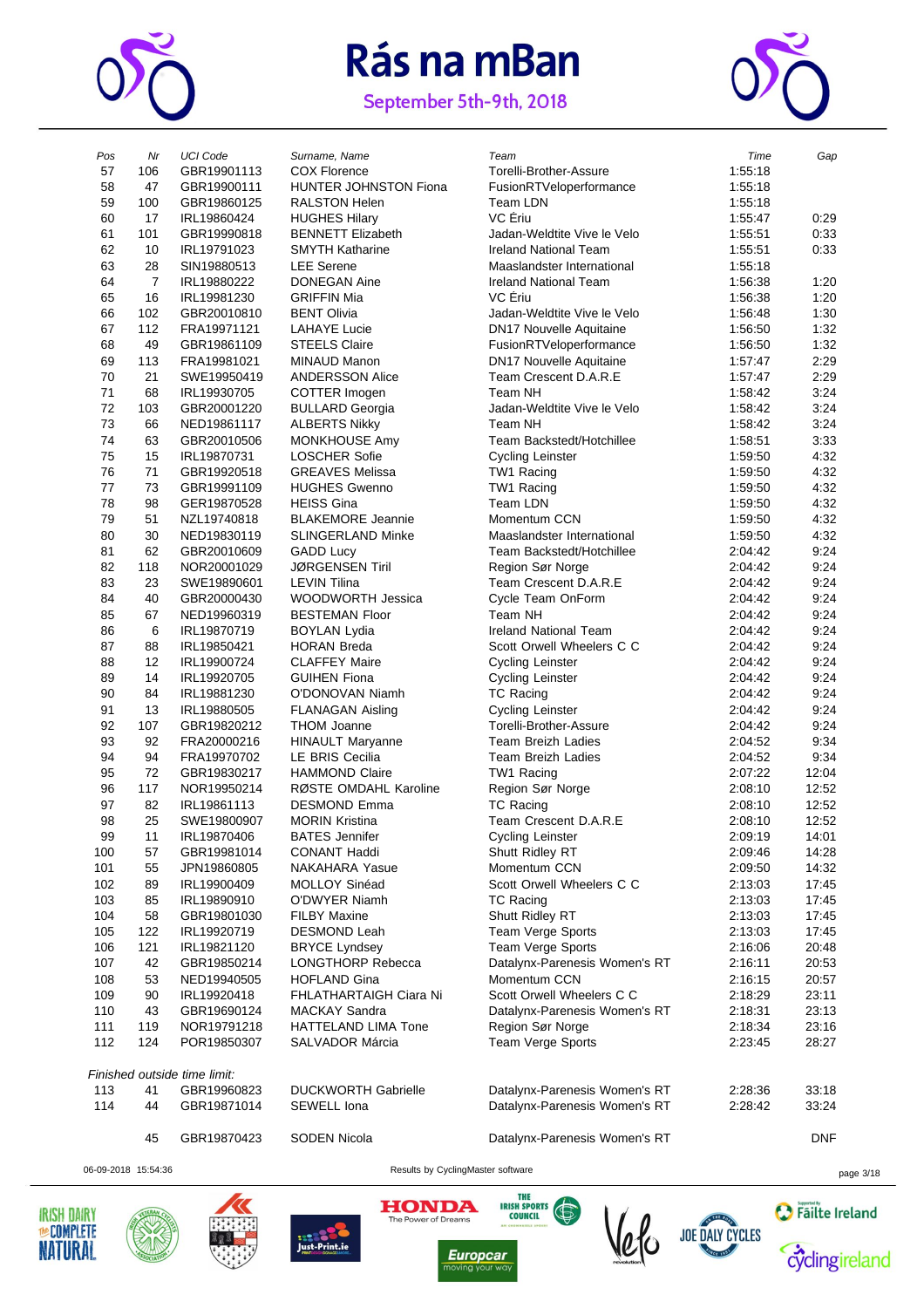

September 5th-9th, 2018



| Pos<br>57  | Nr<br>106      | <b>UCI Code</b><br>GBR19901113 | Surname, Name<br><b>COX Florence</b>           | Team<br>Torelli-Brother-Assure             | Time<br>1:55:18    | Gap            |
|------------|----------------|--------------------------------|------------------------------------------------|--------------------------------------------|--------------------|----------------|
| 58         | 47             | GBR19900111                    | <b>HUNTER JOHNSTON Fiona</b>                   | FusionRTVeloperformance                    | 1:55:18            |                |
| 59         | 100            | GBR19860125                    | RALSTON Helen                                  | Team LDN                                   | 1:55:18            |                |
| 60         | 17             | IRL19860424                    | <b>HUGHES Hilary</b>                           | VC Ériu                                    | 1:55:47            | 0:29           |
| 61         | 101            | GBR19990818                    | <b>BENNETT Elizabeth</b>                       | Jadan-Weldtite Vive le Velo                | 1:55:51            | 0:33           |
| 62         | 10             | IRL19791023                    | <b>SMYTH Katharine</b>                         | <b>Ireland National Team</b>               | 1:55:51            | 0:33           |
| 63         | 28             | SIN19880513                    | <b>LEE</b> Serene                              | Maaslandster International                 | 1:55:18            |                |
| 64         | $\overline{7}$ | IRL19880222                    | <b>DONEGAN Aine</b>                            | <b>Ireland National Team</b>               | 1:56:38            | 1:20           |
| 65         | 16             | IRL19981230                    | <b>GRIFFIN Mia</b>                             | VC Eriu                                    | 1:56:38            | 1:20           |
| 66         | 102            | GBR20010810                    | <b>BENT Olivia</b>                             | Jadan-Weldtite Vive le Velo                | 1:56:48            | 1:30           |
| 67         | 112            | FRA19971121                    | <b>LAHAYE Lucie</b>                            | <b>DN17 Nouvelle Aquitaine</b>             | 1:56:50            | 1:32           |
| 68         | 49             | GBR19861109                    | <b>STEELS Claire</b>                           | FusionRTVeloperformance                    | 1:56:50            | 1:32           |
| 69         | 113            | FRA19981021                    | <b>MINAUD Manon</b>                            | <b>DN17 Nouvelle Aquitaine</b>             | 1:57:47            | 2:29           |
| 70         | 21             | SWE19950419                    | <b>ANDERSSON Alice</b>                         | Team Crescent D.A.R.E                      | 1:57:47            | 2:29           |
| 71         | 68             | IRL19930705                    | COTTER Imogen                                  | Team NH                                    | 1:58:42            | 3:24           |
| 72         | 103            | GBR20001220                    | <b>BULLARD Georgia</b>                         | Jadan-Weldtite Vive le Velo                | 1:58:42            | 3:24           |
| 73         | 66             | NED19861117                    | <b>ALBERTS Nikky</b>                           | Team NH                                    | 1:58:42            | 3:24           |
| 74         | 63             | GBR20010506                    | MONKHOUSE Amy                                  | Team Backstedt/Hotchillee                  | 1:58:51            | 3:33           |
| 75         | 15             | IRL19870731                    | <b>LOSCHER Sofie</b>                           | <b>Cycling Leinster</b>                    | 1:59:50            | 4.32           |
| 76         | 71             | GBR19920518                    | <b>GREAVES Melissa</b>                         | TW1 Racing                                 | 1:59:50            | 4:32           |
| 77         | 73             | GBR19991109                    | <b>HUGHES Gwenno</b>                           | TW1 Racing                                 | 1:59:50            | 4:32           |
| 78         | 98             | GER19870528                    | <b>HEISS Gina</b>                              | <b>Team LDN</b>                            | 1:59:50            | 4:32           |
| 79         | 51             | NZL19740818                    | <b>BLAKEMORE Jeannie</b>                       | Momentum CCN                               | 1:59:50            | 4:32           |
| 80         | 30             | NED19830119                    | <b>SLINGERLAND Minke</b>                       | Maaslandster International                 | 1:59:50            | 4.32           |
| 81<br>82   | 62             | GBR20010609                    | <b>GADD Lucy</b><br><b>JØRGENSEN Tiril</b>     | Team Backstedt/Hotchillee                  | 2:04:42            | 9:24           |
| 83         | 118            | NOR20001029                    | <b>LEVIN Tilina</b>                            | Region Sør Norge                           | 2:04:42            | 9:24           |
| 84         | 23<br>40       | SWE19890601<br>GBR20000430     | <b>WOODWORTH Jessica</b>                       | Team Crescent D.A.R.E<br>Cycle Team OnForm | 2:04:42<br>2:04:42 | 9:24<br>9:24   |
| 85         | 67             | NED19960319                    | <b>BESTEMAN Floor</b>                          | Team NH                                    | 2:04:42            | 9:24           |
| 86         | 6              | IRL19870719                    | <b>BOYLAN Lydia</b>                            | <b>Ireland National Team</b>               | 2:04:42            | 9:24           |
| 87         | 88             | IRL19850421                    | <b>HORAN Breda</b>                             | Scott Orwell Wheelers C C                  | 2:04:42            | 9:24           |
| 88         | 12             | IRL19900724                    | <b>CLAFFEY Maire</b>                           | <b>Cycling Leinster</b>                    | 2:04:42            | 9:24           |
| 89         | 14             | IRL19920705                    | <b>GUIHEN Fiona</b>                            | <b>Cycling Leinster</b>                    | 2:04:42            | 9:24           |
| 90         | 84             | IRL19881230                    | O'DONOVAN Niamh                                | <b>TC Racing</b>                           | 2:04:42            | 9:24           |
| 91         | 13             | IRL19880505                    | <b>FLANAGAN Aisling</b>                        | <b>Cycling Leinster</b>                    | 2:04:42            | 9:24           |
| 92         | 107            | GBR19820212                    | <b>THOM Joanne</b>                             | Torelli-Brother-Assure                     | 2:04:42            | 9:24           |
| 93         | 92             | FRA20000216                    | <b>HINAULT Maryanne</b>                        | <b>Team Breizh Ladies</b>                  | 2:04:52            | 9:34           |
| 94         | 94             | FRA19970702                    | <b>LE BRIS Cecilia</b>                         | Team Breizh Ladies                         | 2:04:52            | 9:34           |
| 95         | 72             | GBR19830217                    | <b>HAMMOND Claire</b>                          | TW1 Racing                                 | 2:07:22            | 12:04          |
| 96         | 117            | NOR19950214                    | RØSTE OMDAHL Karoline                          | Region Sør Norge                           | 2:08:10            | 12:52          |
| 97         | 82             | IRL19861113                    | <b>DESMOND Emma</b>                            | <b>TC Racing</b>                           | 2:08:10            | 12:52          |
| 98         | 25             | SWE19800907                    | <b>MORIN Kristina</b>                          | Team Crescent D.A.R.E                      | 2:08:10            | 12:52          |
| 99         | 11             | IRL19870406                    | <b>BATES Jennifer</b>                          | Cycling Leinster                           | 2:09:19            | 14:01          |
| 100        | 57             | GBR19981014                    | <b>CONANT Haddi</b>                            | Shutt Ridley RT                            | 2:09:46            | 14:28          |
| 101        | 55             | JPN19860805                    | <b>NAKAHARA Yasue</b>                          | Momentum CCN                               | 2:09:50            | 14:32          |
| 102        | 89             | IRL19900409                    | MOLLOY Sinéad                                  | Scott Orwell Wheelers C C                  | 2:13:03            | 17:45          |
| 103        | 85             | IRL19890910                    | O'DWYER Niamh                                  | TC Racing                                  | 2:13:03            | 17:45          |
| 104        | 58             | GBR19801030                    | <b>FILBY Maxine</b>                            | Shutt Ridley RT                            | 2:13:03            | 17:45          |
| 105        | 122            | IRL19920719                    | <b>DESMOND Leah</b>                            | Team Verge Sports                          | 2:13:03            | 17:45          |
| 106        | 121            | IRL19821120                    | <b>BRYCE Lyndsey</b>                           | Team Verge Sports                          | 2:16:06            | 20:48          |
| 107        | 42             | GBR19850214                    | LONGTHORP Rebecca                              | Datalynx-Parenesis Women's RT              | 2:16:11            | 20:53          |
| 108        | 53             | NED19940505<br>IRL19920418     | <b>HOFLAND Gina</b>                            | Momentum CCN<br>Scott Orwell Wheelers C C  | 2:16:15            | 20:57          |
| 109<br>110 | 90<br>43       | GBR19690124                    | FHLATHARTAIGH Ciara Ni<br><b>MACKAY Sandra</b> | Datalynx-Parenesis Women's RT              | 2:18:29<br>2:18:31 | 23:11<br>23:13 |
| 111        | 119            | NOR19791218                    | HATTELAND LIMA Tone                            | Region Sør Norge                           | 2:18:34            | 23:16          |
| 112        | 124            | POR19850307                    | SALVADOR Márcia                                | Team Verge Sports                          | 2:23:45            | 28:27          |
|            |                |                                |                                                |                                            |                    |                |
|            |                | Finished outside time limit:   |                                                |                                            |                    |                |
| 113        | 41             | GBR19960823                    | <b>DUCKWORTH Gabrielle</b>                     | Datalynx-Parenesis Women's RT              | 2:28:36            | 33:18          |
| 114        | 44             | GBR19871014                    | SEWELL Iona                                    | Datalynx-Parenesis Women's RT              | 2:28:42            | 33:24          |
|            | 45             | GBR19870423                    | <b>SODEN Nicola</b>                            | Datalynx-Parenesis Women's RT              |                    | <b>DNF</b>     |

06-09-2018 15:54:36 Results by CyclingMaster software page 3/18











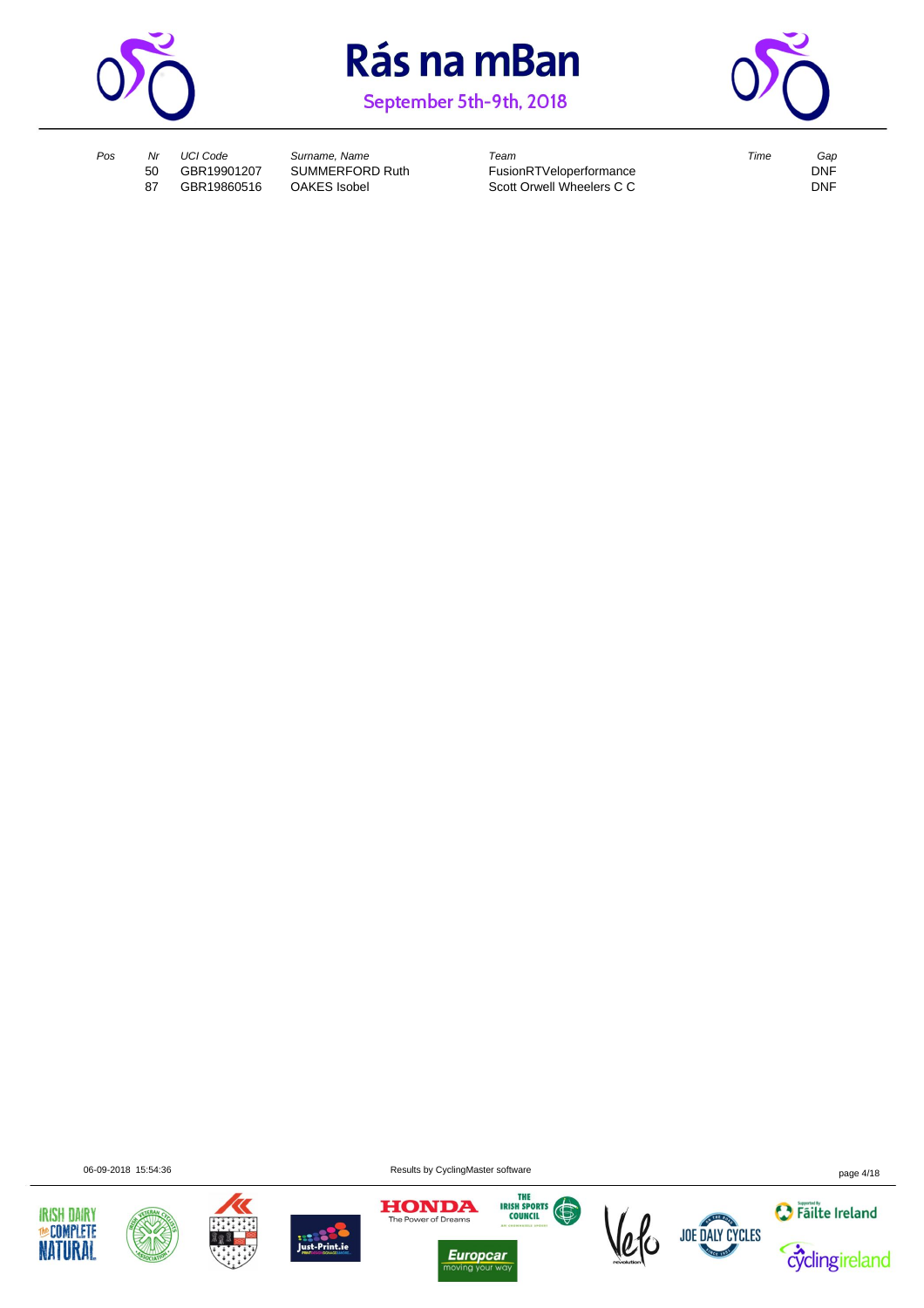

September 5th-9th, 2018



*Pos Nr UCI Code Surname, Name Team Time Gap* FusionRTVeloperformance<br>
Scott Orwell Wheelers C C<br>
DNF 87 GBR19860516 OAKES Isobel Scott Orwell Wheelers C C

06-09-2018 15:54:36 Results by CyclingMaster software page 4/18











 $\overline{\overline{\mathsf{w}}}$ 



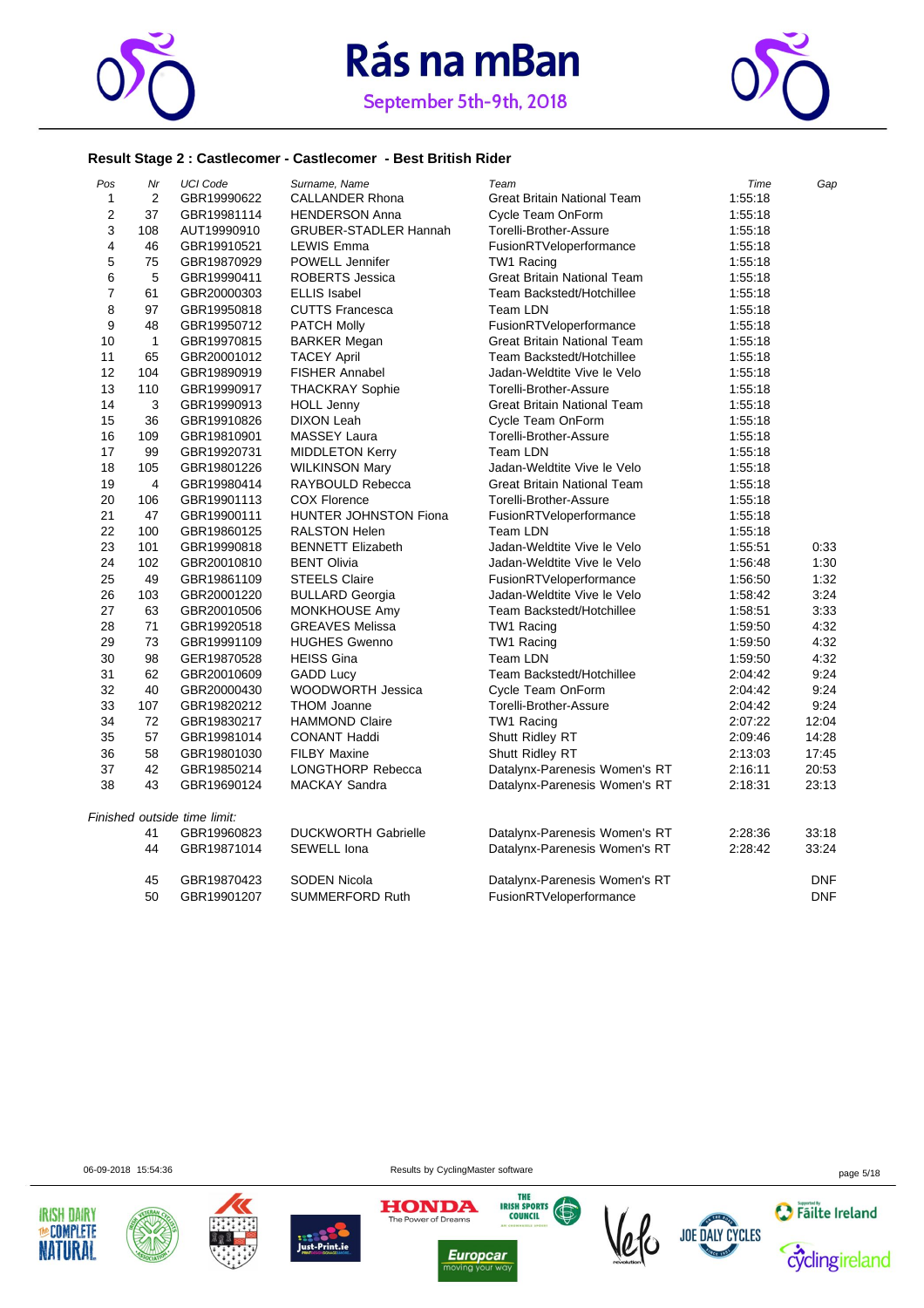



#### **Result Stage 2 : Castlecomer - Castlecomer - Best British Rider**

| Pos            | Nr             | <b>UCI Code</b>              | Surname, Name                | Team                               | Time    | Gap        |
|----------------|----------------|------------------------------|------------------------------|------------------------------------|---------|------------|
| 1              | $\overline{2}$ | GBR19990622                  | <b>CALLANDER Rhona</b>       | <b>Great Britain National Team</b> | 1:55:18 |            |
| $\overline{2}$ | 37             | GBR19981114                  | <b>HENDERSON Anna</b>        | Cycle Team OnForm                  | 1:55:18 |            |
| 3              | 108            | AUT19990910                  | <b>GRUBER-STADLER Hannah</b> | Torelli-Brother-Assure             | 1:55:18 |            |
| 4              | 46             | GBR19910521                  | <b>LEWIS Emma</b>            | FusionRTVeloperformance            | 1:55:18 |            |
| 5              | 75             | GBR19870929                  | POWELL Jennifer              | TW1 Racing                         | 1:55:18 |            |
| 6              | 5              | GBR19990411                  | ROBERTS Jessica              | <b>Great Britain National Team</b> | 1:55:18 |            |
| $\overline{7}$ | 61             | GBR20000303                  | <b>ELLIS Isabel</b>          | Team Backstedt/Hotchillee          | 1:55:18 |            |
| 8              | 97             | GBR19950818                  | <b>CUTTS Francesca</b>       | Team LDN                           | 1:55:18 |            |
| 9              | 48             | GBR19950712                  | <b>PATCH Molly</b>           | FusionRTVeloperformance            | 1:55:18 |            |
| 10             | $\mathbf{1}$   | GBR19970815                  | <b>BARKER Megan</b>          | <b>Great Britain National Team</b> | 1:55:18 |            |
| 11             | 65             | GBR20001012                  | <b>TACEY April</b>           | Team Backstedt/Hotchillee          | 1:55:18 |            |
| 12             | 104            | GBR19890919                  | <b>FISHER Annabel</b>        | Jadan-Weldtite Vive le Velo        | 1:55:18 |            |
| 13             | 110            | GBR19990917                  | <b>THACKRAY Sophie</b>       | Torelli-Brother-Assure             | 1:55:18 |            |
| 14             | 3              | GBR19990913                  | <b>HOLL Jenny</b>            | <b>Great Britain National Team</b> | 1:55:18 |            |
| 15             | 36             | GBR19910826                  | <b>DIXON Leah</b>            | Cycle Team OnForm                  | 1:55:18 |            |
| 16             | 109            | GBR19810901                  | <b>MASSEY Laura</b>          | Torelli-Brother-Assure             | 1:55:18 |            |
| 17             | 99             | GBR19920731                  | <b>MIDDLETON Kerry</b>       | Team LDN                           | 1:55:18 |            |
| 18             | 105            | GBR19801226                  | <b>WILKINSON Mary</b>        | Jadan-Weldtite Vive le Velo        | 1:55:18 |            |
| 19             | 4              | GBR19980414                  | RAYBOULD Rebecca             | <b>Great Britain National Team</b> | 1:55:18 |            |
| 20             | 106            | GBR19901113                  | <b>COX Florence</b>          | Torelli-Brother-Assure             | 1:55:18 |            |
| 21             | 47             | GBR19900111                  | HUNTER JOHNSTON Fiona        | FusionRTVeloperformance            | 1:55:18 |            |
| 22             | 100            | GBR19860125                  | <b>RALSTON Helen</b>         | Team LDN                           | 1:55:18 |            |
| 23             | 101            | GBR19990818                  | <b>BENNETT Elizabeth</b>     | Jadan-Weldtite Vive le Velo        | 1:55:51 | 0:33       |
| 24             | 102            | GBR20010810                  | <b>BENT Olivia</b>           | Jadan-Weldtite Vive le Velo        | 1:56:48 | 1:30       |
| 25             | 49             | GBR19861109                  | <b>STEELS Claire</b>         | FusionRTVeloperformance            | 1:56:50 | 1:32       |
| 26             | 103            | GBR20001220                  | <b>BULLARD Georgia</b>       | Jadan-Weldtite Vive le Velo        | 1:58:42 | 3:24       |
| 27             | 63             | GBR20010506                  | MONKHOUSE Amy                | Team Backstedt/Hotchillee          | 1:58:51 | 3:33       |
| 28             | 71             | GBR19920518                  | <b>GREAVES Melissa</b>       | TW1 Racing                         | 1:59:50 | 4:32       |
| 29             | 73             | GBR19991109                  | <b>HUGHES Gwenno</b>         | TW1 Racing                         | 1:59:50 | 4:32       |
| 30             | 98             | GER19870528                  | <b>HEISS Gina</b>            | Team LDN                           | 1:59:50 | 4:32       |
| 31             | 62             | GBR20010609                  | <b>GADD Lucy</b>             | Team Backstedt/Hotchillee          | 2:04:42 | 9:24       |
| 32             | 40             | GBR20000430                  | WOODWORTH Jessica            | Cycle Team OnForm                  | 2:04:42 | 9:24       |
| 33             | 107            | GBR19820212                  | <b>THOM Joanne</b>           | Torelli-Brother-Assure             | 2:04:42 | 9:24       |
| 34             | 72             | GBR19830217                  | <b>HAMMOND Claire</b>        | TW1 Racing                         | 2:07:22 | 12:04      |
| 35             | 57             | GBR19981014                  | <b>CONANT Haddi</b>          | Shutt Ridley RT                    | 2:09:46 | 14:28      |
| 36             | 58             | GBR19801030                  | <b>FILBY Maxine</b>          | Shutt Ridley RT                    | 2:13:03 | 17:45      |
| 37             | 42             | GBR19850214                  | <b>LONGTHORP Rebecca</b>     | Datalynx-Parenesis Women's RT      | 2:16:11 | 20:53      |
| 38             | 43             | GBR19690124                  | <b>MACKAY Sandra</b>         | Datalynx-Parenesis Women's RT      | 2:18:31 | 23:13      |
|                |                | Finished outside time limit: |                              |                                    |         |            |
|                | 41             | GBR19960823                  | <b>DUCKWORTH Gabrielle</b>   | Datalynx-Parenesis Women's RT      | 2:28:36 | 33:18      |
|                | 44             | GBR19871014                  | <b>SEWELL Iona</b>           | Datalynx-Parenesis Women's RT      | 2:28:42 | 33:24      |
|                | 45             | GBR19870423                  | <b>SODEN Nicola</b>          | Datalynx-Parenesis Women's RT      |         | <b>DNF</b> |
|                | 50             | GBR19901207                  | <b>SUMMERFORD Ruth</b>       | FusionRTVeloperformance            |         | <b>DNF</b> |

06-09-2018 15:54:36 Results by CyclingMaster software page 5/18













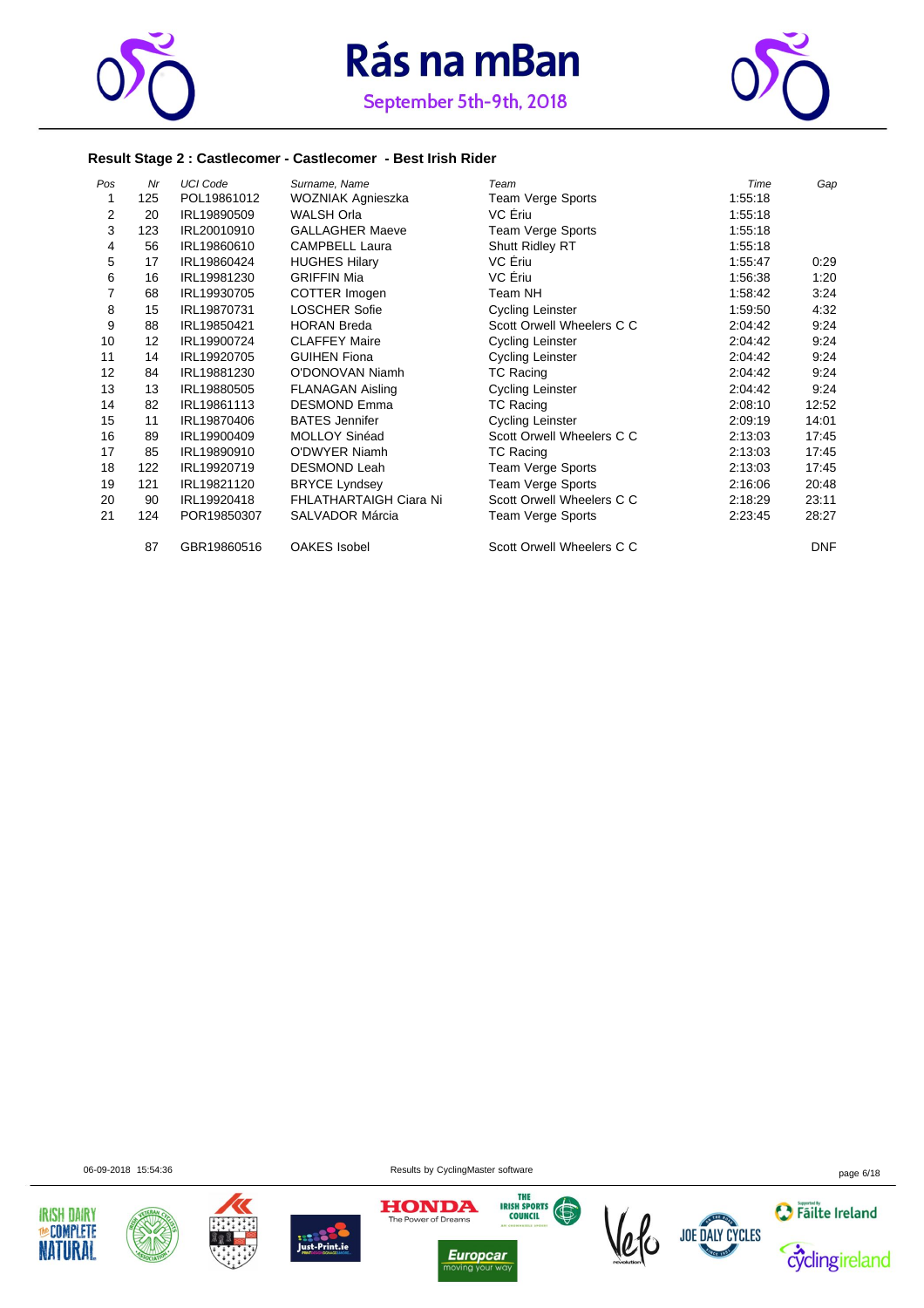



September 5th-9th, 2018

#### **Result Stage 2 : Castlecomer - Castlecomer - Best Irish Rider**

| Pos | Nr  | <b>UCI Code</b> | Surname, Name           | Team                      | Time    | Gap        |
|-----|-----|-----------------|-------------------------|---------------------------|---------|------------|
| 1   | 125 | POL19861012     | WOZNIAK Agnieszka       | Team Verge Sports         | 1:55:18 |            |
| 2   | 20  | IRL19890509     | WALSH Orla              | VC Eriu                   | 1:55:18 |            |
| 3   | 123 | IRL20010910     | <b>GALLAGHER Maeve</b>  | Team Verge Sports         | 1:55:18 |            |
| 4   | 56  | IRL19860610     | <b>CAMPBELL Laura</b>   | Shutt Ridley RT           | 1:55:18 |            |
| 5   | 17  | IRL19860424     | <b>HUGHES Hilary</b>    | VC Eriu                   | 1:55:47 | 0:29       |
| 6   | 16  | IRL19981230     | <b>GRIFFIN Mia</b>      | VC Ériu                   | 1:56:38 | 1:20       |
| 7   | 68  | IRL19930705     | COTTER Imogen           | Team NH                   | 1:58:42 | 3:24       |
| 8   | 15  | IRL19870731     | <b>LOSCHER Sofie</b>    | <b>Cycling Leinster</b>   | 1:59:50 | 4:32       |
| 9   | 88  | IRL19850421     | <b>HORAN Breda</b>      | Scott Orwell Wheelers C C | 2:04:42 | 9:24       |
| 10  | 12  | IRL19900724     | <b>CLAFFEY Maire</b>    | <b>Cycling Leinster</b>   | 2:04:42 | 9:24       |
| 11  | 14  | IRL19920705     | <b>GUIHEN Fiona</b>     | <b>Cycling Leinster</b>   | 2:04:42 | 9:24       |
| 12  | 84  | IRL19881230     | O'DONOVAN Niamh         | TC Racing                 | 2:04:42 | 9:24       |
| 13  | 13  | IRL19880505     | <b>FLANAGAN Aisling</b> | <b>Cycling Leinster</b>   | 2:04:42 | 9:24       |
| 14  | 82  | IRL19861113     | <b>DESMOND Emma</b>     | TC Racing                 | 2:08:10 | 12:52      |
| 15  | 11  | IRL19870406     | <b>BATES Jennifer</b>   | <b>Cycling Leinster</b>   | 2:09:19 | 14:01      |
| 16  | 89  | IRL19900409     | MOLLOY Sinéad           | Scott Orwell Wheelers C C | 2:13:03 | 17:45      |
| 17  | 85  | IRL19890910     | O'DWYER Niamh           | TC Racing                 | 2:13:03 | 17:45      |
| 18  | 122 | IRL19920719     | <b>DESMOND Leah</b>     | Team Verge Sports         | 2:13:03 | 17:45      |
| 19  | 121 | IRL19821120     | <b>BRYCE Lyndsey</b>    | Team Verge Sports         | 2:16:06 | 20:48      |
| 20  | 90  | IRL19920418     | FHLATHARTAIGH Ciara Ni  | Scott Orwell Wheelers C C | 2:18:29 | 23:11      |
| 21  | 124 | POR19850307     | SALVADOR Márcia         | Team Verge Sports         | 2:23:45 | 28:27      |
|     | 87  | GBR19860516     | <b>OAKES</b> Isobel     | Scott Orwell Wheelers C C |         | <b>DNF</b> |











 $\frac{1}{10}$ 





06-09-2018 15:54:36 Results by CyclingMaster software page 6/18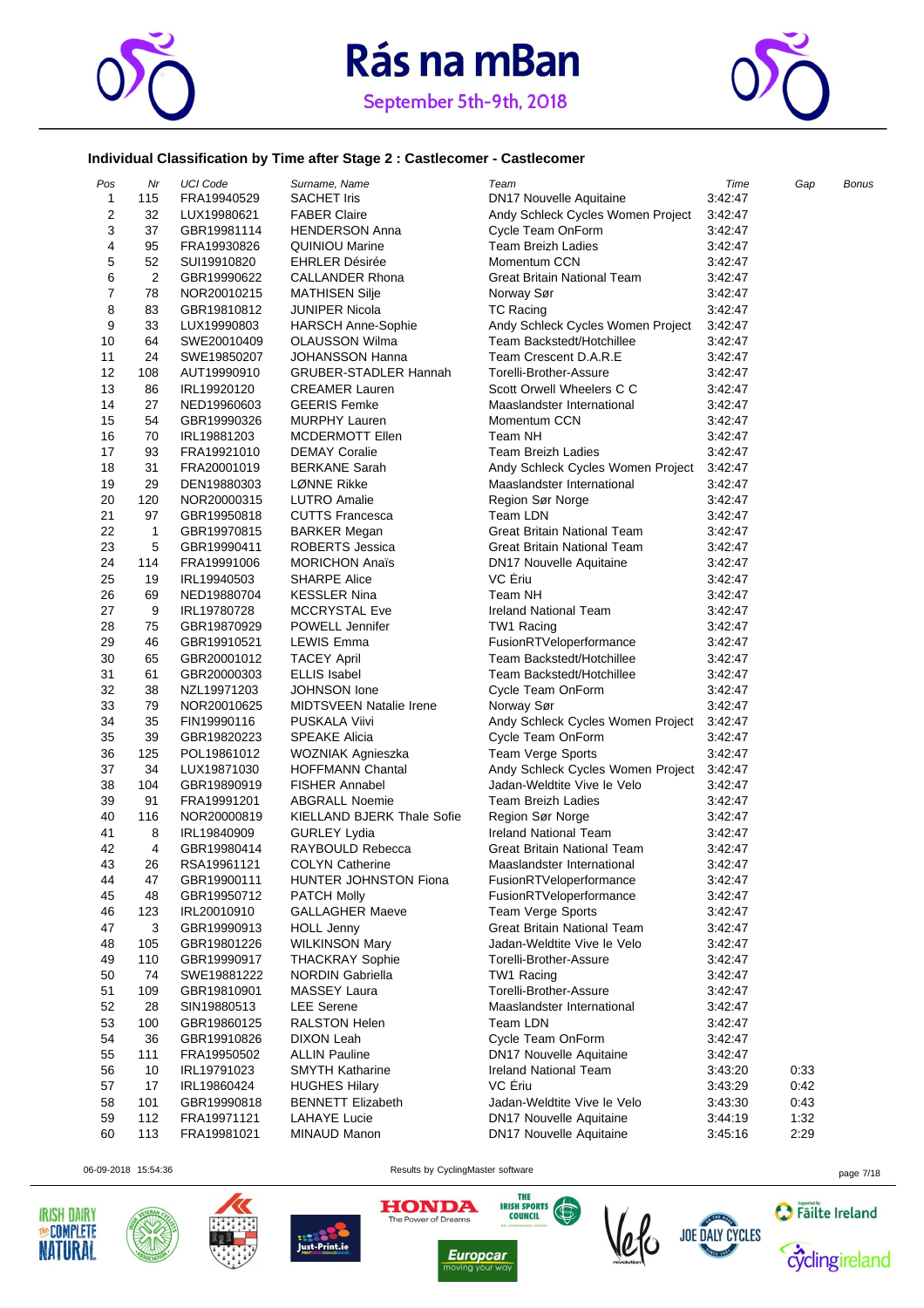



### **Individual Classification by Time after Stage 2 : Castlecomer - Castlecomer**

| Pos          | Nr             | <b>UCI Code</b> | Surname, Name                                    | Team                                                             | Time               | Gap  | Bonus |
|--------------|----------------|-----------------|--------------------------------------------------|------------------------------------------------------------------|--------------------|------|-------|
| $\mathbf{1}$ | 115            | FRA19940529     | <b>SACHET Iris</b>                               | <b>DN17 Nouvelle Aquitaine</b>                                   | 3:42:47            |      |       |
| 2            | 32             | LUX19980621     | <b>FABER Claire</b>                              | Andy Schleck Cycles Women Project                                | 3:42:47            |      |       |
| 3            | 37             | GBR19981114     | <b>HENDERSON Anna</b>                            | Cycle Team OnForm                                                | 3:42:47            |      |       |
| 4            | 95             | FRA19930826     | QUINIOU Marine                                   | Team Breizh Ladies                                               | 3:42:47            |      |       |
| 5            | 52             | SUI19910820     | <b>EHRLER Désirée</b>                            | Momentum CCN                                                     | 3:42:47            |      |       |
| 6            | $\overline{2}$ | GBR19990622     | <b>CALLANDER Rhona</b>                           | <b>Great Britain National Team</b>                               | 3:42:47            |      |       |
| 7            | 78             | NOR20010215     | <b>MATHISEN Silje</b>                            | Norway Sør                                                       | 3:42:47            |      |       |
| 8            | 83             | GBR19810812     | <b>JUNIPER Nicola</b>                            | <b>TC Racing</b>                                                 | 3:42:47            |      |       |
| 9            | 33             | LUX19990803     | <b>HARSCH Anne-Sophie</b>                        | Andy Schleck Cycles Women Project                                | 3:42:47            |      |       |
| 10           | 64             | SWE20010409     | <b>OLAUSSON Wilma</b>                            | Team Backstedt/Hotchillee                                        | 3:42:47            |      |       |
| 11           | 24             | SWE19850207     | <b>JOHANSSON Hanna</b>                           | Team Crescent D.A.R.E                                            | 3:42:47            |      |       |
| 12           | 108            | AUT19990910     | <b>GRUBER-STADLER Hannah</b>                     | Torelli-Brother-Assure                                           | 3:42:47            |      |       |
| 13           | 86             | IRL19920120     | <b>CREAMER Lauren</b>                            | Scott Orwell Wheelers C C                                        | 3:42:47            |      |       |
| 14           | 27             | NED19960603     | <b>GEERIS Femke</b>                              | Maaslandster International                                       | 3:42:47            |      |       |
| 15           | 54             | GBR19990326     | <b>MURPHY Lauren</b>                             | Momentum CCN                                                     | 3:42:47            |      |       |
| 16           | 70             | IRL19881203     | MCDERMOTT Ellen                                  | Team NH                                                          | 3:42:47            |      |       |
| 17           | 93             | FRA19921010     | <b>DEMAY Coralie</b>                             | <b>Team Breizh Ladies</b>                                        | 3:42:47            |      |       |
| 18           | 31             | FRA20001019     | <b>BERKANE Sarah</b>                             | Andy Schleck Cycles Women Project                                | 3:42:47            |      |       |
| 19           | 29             | DEN19880303     | LØNNE Rikke                                      | Maaslandster International                                       | 3:42:47            |      |       |
| 20           | 120            | NOR20000315     | <b>LUTRO Amalie</b>                              | Region Sør Norge                                                 | 3:42:47            |      |       |
| 21           | 97             | GBR19950818     | <b>CUTTS Francesca</b>                           | Team LDN                                                         | 3:42:47            |      |       |
| 22           | 1              | GBR19970815     | <b>BARKER Megan</b>                              | <b>Great Britain National Team</b>                               | 3:42:47            |      |       |
| 23           | 5              | GBR19990411     | <b>ROBERTS Jessica</b>                           | Great Britain National Team                                      | 3:42:47            |      |       |
| 24           | 114            | FRA19991006     | <b>MORICHON Anaïs</b>                            | <b>DN17 Nouvelle Aquitaine</b>                                   | 3:42:47            |      |       |
| 25           | 19             | IRL19940503     | <b>SHARPE Alice</b>                              | VC Eriu                                                          | 3:42:47            |      |       |
| 26           | 69             | NED19880704     | <b>KESSLER Nina</b>                              | Team NH                                                          | 3:42:47            |      |       |
| 27           | 9              | IRL19780728     | <b>MCCRYSTAL Eve</b>                             | <b>Ireland National Team</b>                                     | 3:42:47            |      |       |
| 28           | 75             | GBR19870929     | POWELL Jennifer                                  | TW1 Racing                                                       | 3:42:47            |      |       |
| 29           | 46             | GBR19910521     | LEWIS Emma                                       | FusionRTVeloperformance                                          | 3:42:47            |      |       |
| 30           | 65             | GBR20001012     | <b>TACEY April</b>                               | Team Backstedt/Hotchillee                                        | 3:42:47            |      |       |
| 31           | 61             | GBR20000303     | <b>ELLIS Isabel</b>                              | Team Backstedt/Hotchillee                                        | 3:42:47            |      |       |
| 32           | 38             |                 | JOHNSON lone                                     | Cycle Team OnForm                                                | 3:42:47            |      |       |
| 33           | 79             | NZL19971203     | <b>MIDTSVEEN Natalie Irene</b>                   |                                                                  | 3:42:47            |      |       |
| 34           | 35             | NOR20010625     | <b>PUSKALA Viivi</b>                             | Norway Sør<br>Andy Schleck Cycles Women Project                  | 3:42:47            |      |       |
| 35           | 39             | FIN19990116     |                                                  | Cycle Team OnForm                                                |                    |      |       |
| 36           | 125            | GBR19820223     | <b>SPEAKE Alicia</b>                             |                                                                  | 3:42:47<br>3:42:47 |      |       |
|              | 34             | POL19861012     | WOZNIAK Agnieszka                                | Team Verge Sports                                                |                    |      |       |
| 37           |                | LUX19871030     | <b>HOFFMANN Chantal</b><br><b>FISHER Annabel</b> | Andy Schleck Cycles Women Project<br>Jadan-Weldtite Vive le Velo | 3:42:47            |      |       |
| 38           | 104            | GBR19890919     |                                                  |                                                                  | 3:42:47            |      |       |
| 39           | 91             | FRA19991201     | <b>ABGRALL Noemie</b>                            | <b>Team Breizh Ladies</b>                                        | 3:42:47            |      |       |
| 40           | 116            | NOR20000819     | KIELLAND BJERK Thale Sofie                       | Region Sør Norge                                                 | 3:42:47            |      |       |
| 41           | 8              | IRL19840909     | <b>GURLEY Lydia</b>                              | <b>Ireland National Team</b>                                     | 3:42:47            |      |       |
| 42           | 4              | GBR19980414     | RAYBOULD Rebecca                                 | Great Britain National Team                                      | 3:42:47            |      |       |
| 43           | 26             | RSA19961121     | <b>COLYN Catherine</b>                           | Maaslandster International                                       | 3:42:47            |      |       |
| 44           | 47             | GBR19900111     | HUNTER JOHNSTON Fiona                            | FusionRTVeloperformance                                          | 3:42:47            |      |       |
| 45           | 48             | GBR19950712     | <b>PATCH Molly</b>                               | FusionRTVeloperformance                                          | 3:42:47            |      |       |
| 46           | 123            | IRL20010910     | <b>GALLAGHER Maeve</b>                           | <b>Team Verge Sports</b>                                         | 3:42:47            |      |       |
| 47           | 3              | GBR19990913     | <b>HOLL Jenny</b>                                | Great Britain National Team                                      | 3:42:47            |      |       |
| 48           | 105            | GBR19801226     | <b>WILKINSON Mary</b>                            | Jadan-Weldtite Vive le Velo                                      | 3:42:47            |      |       |
| 49           | 110            | GBR19990917     | <b>THACKRAY Sophie</b>                           | Torelli-Brother-Assure                                           | 3:42:47            |      |       |
| 50           | 74             | SWE19881222     | NORDIN Gabriella                                 | TW1 Racing                                                       | 3:42:47            |      |       |
| 51           | 109            | GBR19810901     | <b>MASSEY Laura</b>                              | Torelli-Brother-Assure                                           | 3:42:47            |      |       |
| 52           | 28             | SIN19880513     | <b>LEE</b> Serene                                | Maaslandster International                                       | 3:42:47            |      |       |
| 53           | 100            | GBR19860125     | <b>RALSTON Helen</b>                             | Team LDN                                                         | 3:42:47            |      |       |
| 54           | 36             | GBR19910826     | DIXON Leah                                       | Cycle Team OnForm                                                | 3:42:47            |      |       |
| 55           | 111            | FRA19950502     | <b>ALLIN Pauline</b>                             | DN17 Nouvelle Aquitaine                                          | 3:42:47            |      |       |
| 56           | 10             | IRL19791023     | <b>SMYTH Katharine</b>                           | <b>Ireland National Team</b>                                     | 3:43:20            | 0:33 |       |
| 57           | 17             | IRL19860424     | <b>HUGHES Hilary</b>                             | VC Eriu                                                          | 3:43:29            | 0:42 |       |
| 58           | 101            | GBR19990818     | <b>BENNETT Elizabeth</b>                         | Jadan-Weldtite Vive le Velo                                      | 3:43:30            | 0:43 |       |
| 59           | 112            | FRA19971121     | LAHAYE Lucie                                     | DN17 Nouvelle Aquitaine                                          | 3:44:19            | 1:32 |       |
| 60           | 113            | FRA19981021     | MINAUD Manon                                     | <b>DN17 Nouvelle Aquitaine</b>                                   | 3:45:16            | 2:29 |       |





06-09-2018 15:54:36 Results by CyclingMaster software page 7/18





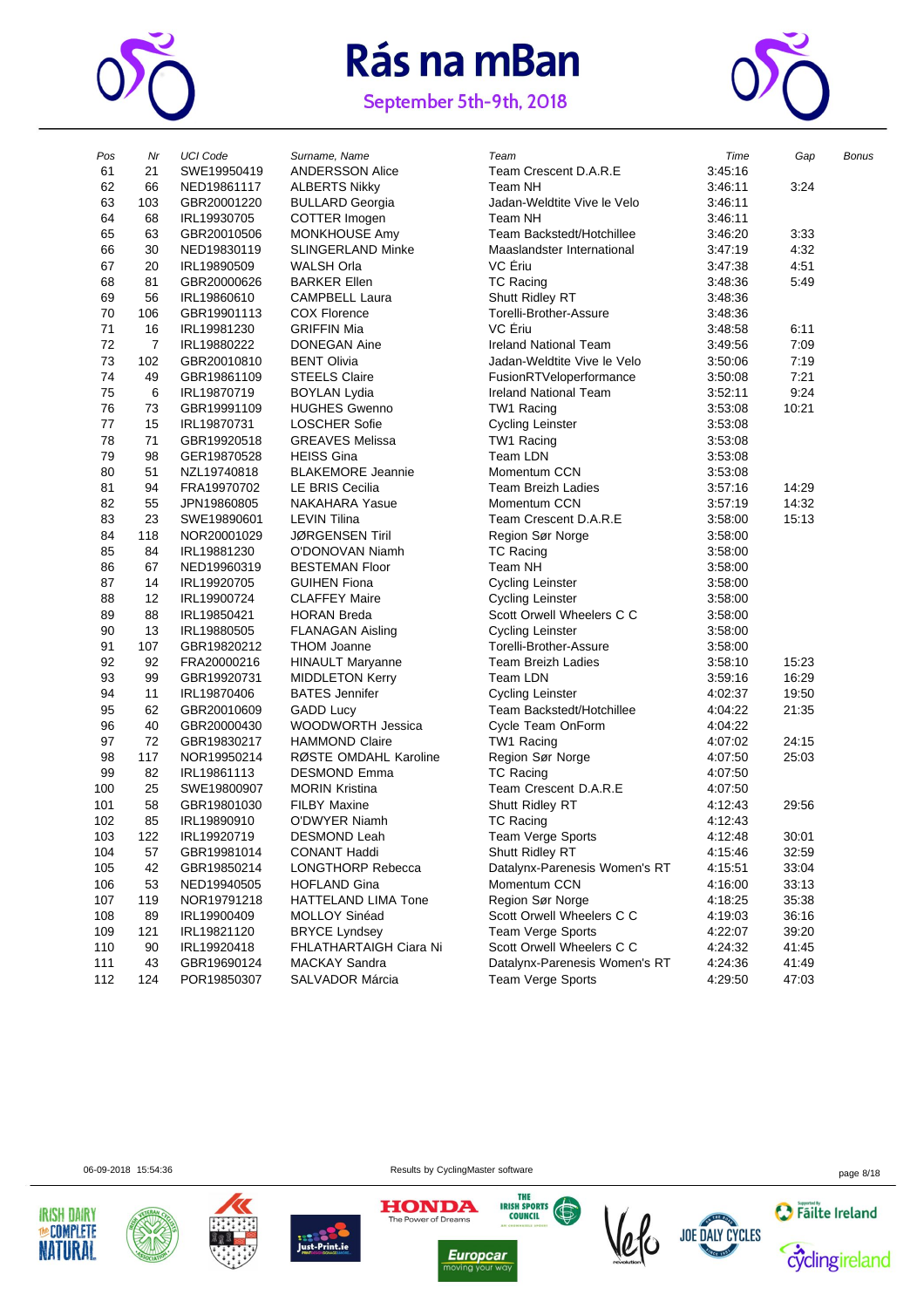





| Pos | Nr             | <b>UCI Code</b> | Surname, Name            | Team                          | Time    | Gap   | Bonus |
|-----|----------------|-----------------|--------------------------|-------------------------------|---------|-------|-------|
| 61  | 21             | SWE19950419     | <b>ANDERSSON Alice</b>   | Team Crescent D.A.R.E         | 3:45:16 |       |       |
| 62  | 66             | NED19861117     | <b>ALBERTS Nikky</b>     | Team NH                       | 3:46:11 | 3:24  |       |
| 63  | 103            | GBR20001220     | <b>BULLARD Georgia</b>   | Jadan-Weldtite Vive le Velo   | 3:46:11 |       |       |
| 64  | 68             | IRL19930705     | COTTER Imogen            | Team NH                       | 3:46:11 |       |       |
| 65  | 63             | GBR20010506     | <b>MONKHOUSE Amy</b>     | Team Backstedt/Hotchillee     | 3:46:20 | 3:33  |       |
| 66  | 30             | NED19830119     | <b>SLINGERLAND Minke</b> | Maaslandster International    | 3:47:19 | 4:32  |       |
| 67  | 20             | IRL19890509     | <b>WALSH Orla</b>        | VC Eriu                       | 3:47:38 | 4:51  |       |
| 68  | 81             | GBR20000626     | <b>BARKER Ellen</b>      | <b>TC Racing</b>              | 3:48:36 | 5:49  |       |
| 69  | 56             | IRL19860610     | <b>CAMPBELL Laura</b>    | Shutt Ridley RT               | 3:48:36 |       |       |
| 70  | 106            | GBR19901113     | <b>COX Florence</b>      | Torelli-Brother-Assure        | 3:48:36 |       |       |
| 71  | 16             | IRL19981230     | <b>GRIFFIN Mia</b>       | VC Eriu                       | 3:48:58 | 6:11  |       |
| 72  | $\overline{7}$ | IRL19880222     | <b>DONEGAN Aine</b>      | <b>Ireland National Team</b>  | 3:49:56 | 7:09  |       |
| 73  | 102            | GBR20010810     | <b>BENT Olivia</b>       | Jadan-Weldtite Vive le Velo   | 3:50:06 | 7:19  |       |
| 74  | 49             | GBR19861109     | <b>STEELS Claire</b>     | FusionRTVeloperformance       | 3:50:08 | 7:21  |       |
| 75  | 6              | IRL19870719     | <b>BOYLAN Lydia</b>      | <b>Ireland National Team</b>  | 3:52:11 | 9:24  |       |
| 76  | 73             | GBR19991109     | <b>HUGHES Gwenno</b>     | TW1 Racing                    | 3:53:08 | 10:21 |       |
| 77  | 15             | IRL19870731     | <b>LOSCHER Sofie</b>     | <b>Cycling Leinster</b>       | 3:53:08 |       |       |
| 78  | 71             | GBR19920518     | <b>GREAVES Melissa</b>   | TW1 Racing                    | 3:53:08 |       |       |
| 79  | 98             | GER19870528     | <b>HEISS Gina</b>        | Team LDN                      | 3:53:08 |       |       |
| 80  | 51             | NZL19740818     | <b>BLAKEMORE Jeannie</b> | Momentum CCN                  | 3:53:08 |       |       |
| 81  | 94             | FRA19970702     | <b>LE BRIS Cecilia</b>   | <b>Team Breizh Ladies</b>     | 3:57:16 | 14:29 |       |
| 82  | 55             | JPN19860805     | <b>NAKAHARA Yasue</b>    | Momentum CCN                  | 3:57:19 | 14:32 |       |
| 83  | 23             | SWE19890601     | <b>LEVIN Tilina</b>      | Team Crescent D.A.R.E         | 3:58:00 | 15:13 |       |
| 84  | 118            | NOR20001029     | <b>JØRGENSEN Tiril</b>   | Region Sør Norge              | 3:58:00 |       |       |
| 85  | 84             | IRL19881230     | O'DONOVAN Niamh          | <b>TC Racing</b>              | 3:58:00 |       |       |
| 86  | 67             | NED19960319     | <b>BESTEMAN Floor</b>    | Team NH                       | 3:58:00 |       |       |
| 87  | 14             | IRL19920705     | <b>GUIHEN Fiona</b>      | <b>Cycling Leinster</b>       | 3:58:00 |       |       |
| 88  | 12             | IRL19900724     | <b>CLAFFEY Maire</b>     | <b>Cycling Leinster</b>       | 3:58:00 |       |       |
| 89  | 88             | IRL19850421     | <b>HORAN Breda</b>       | Scott Orwell Wheelers C C     | 3:58:00 |       |       |
| 90  | 13             | IRL19880505     | <b>FLANAGAN Aisling</b>  | <b>Cycling Leinster</b>       | 3:58:00 |       |       |
| 91  | 107            | GBR19820212     | <b>THOM Joanne</b>       | Torelli-Brother-Assure        | 3:58:00 |       |       |
| 92  | 92             | FRA20000216     | <b>HINAULT Maryanne</b>  | <b>Team Breizh Ladies</b>     | 3:58:10 | 15:23 |       |
| 93  | 99             | GBR19920731     | <b>MIDDLETON Kerry</b>   | Team LDN                      | 3:59:16 | 16:29 |       |
| 94  | 11             | IRL19870406     | <b>BATES</b> Jennifer    | <b>Cycling Leinster</b>       | 4:02:37 | 19:50 |       |
| 95  | 62             | GBR20010609     | <b>GADD Lucy</b>         | Team Backstedt/Hotchillee     | 4:04:22 | 21:35 |       |
| 96  | 40             | GBR20000430     | <b>WOODWORTH Jessica</b> | Cycle Team OnForm             | 4:04:22 |       |       |
| 97  | 72             | GBR19830217     | <b>HAMMOND Claire</b>    | TW1 Racing                    | 4:07:02 | 24:15 |       |
| 98  | 117            | NOR19950214     | RØSTE OMDAHL Karoline    | Region Sør Norge              | 4:07:50 | 25:03 |       |
| 99  | 82             | IRL19861113     | <b>DESMOND Emma</b>      | TC Racing                     | 4:07:50 |       |       |
| 100 | 25             | SWE19800907     | <b>MORIN Kristina</b>    | Team Crescent D.A.R.E         | 4:07:50 |       |       |
| 101 | 58             | GBR19801030     | <b>FILBY Maxine</b>      | Shutt Ridley RT               | 4:12:43 | 29:56 |       |
| 102 | 85             | IRL19890910     | O'DWYER Niamh            | <b>TC Racing</b>              | 4:12:43 |       |       |
| 103 | 122            | IRL19920719     | DESMOND Leah             | <b>Team Verge Sports</b>      | 4:12:48 | 30:01 |       |
| 104 | 57             | GBR19981014     | <b>CONANT Haddi</b>      | Shutt Ridley RT               | 4:15:46 | 32:59 |       |
| 105 | 42             | GBR19850214     | <b>LONGTHORP Rebecca</b> | Datalynx-Parenesis Women's RT | 4:15:51 | 33:04 |       |
| 106 | 53             | NED19940505     | <b>HOFLAND Gina</b>      | Momentum CCN                  | 4:16:00 | 33:13 |       |
| 107 | 119            | NOR19791218     | HATTELAND LIMA Tone      | Region Sør Norge              | 4:18:25 | 35:38 |       |
| 108 | 89             | IRL19900409     | MOLLOY Sinéad            | Scott Orwell Wheelers C C     | 4:19:03 | 36:16 |       |
| 109 | 121            | IRL19821120     | <b>BRYCE Lyndsey</b>     | Team Verge Sports             | 4:22:07 | 39:20 |       |
| 110 | 90             | IRL19920418     | FHLATHARTAIGH Ciara Ni   | Scott Orwell Wheelers C C     | 4:24:32 | 41:45 |       |
| 111 | 43             | GBR19690124     | <b>MACKAY Sandra</b>     | Datalynx-Parenesis Women's RT | 4:24:36 | 41:49 |       |
| 112 | 124            | POR19850307     | SALVADOR Márcia          | Team Verge Sports             | 4:29:50 | 47:03 |       |









**HONDA** 



**IRISH SPORTS** 



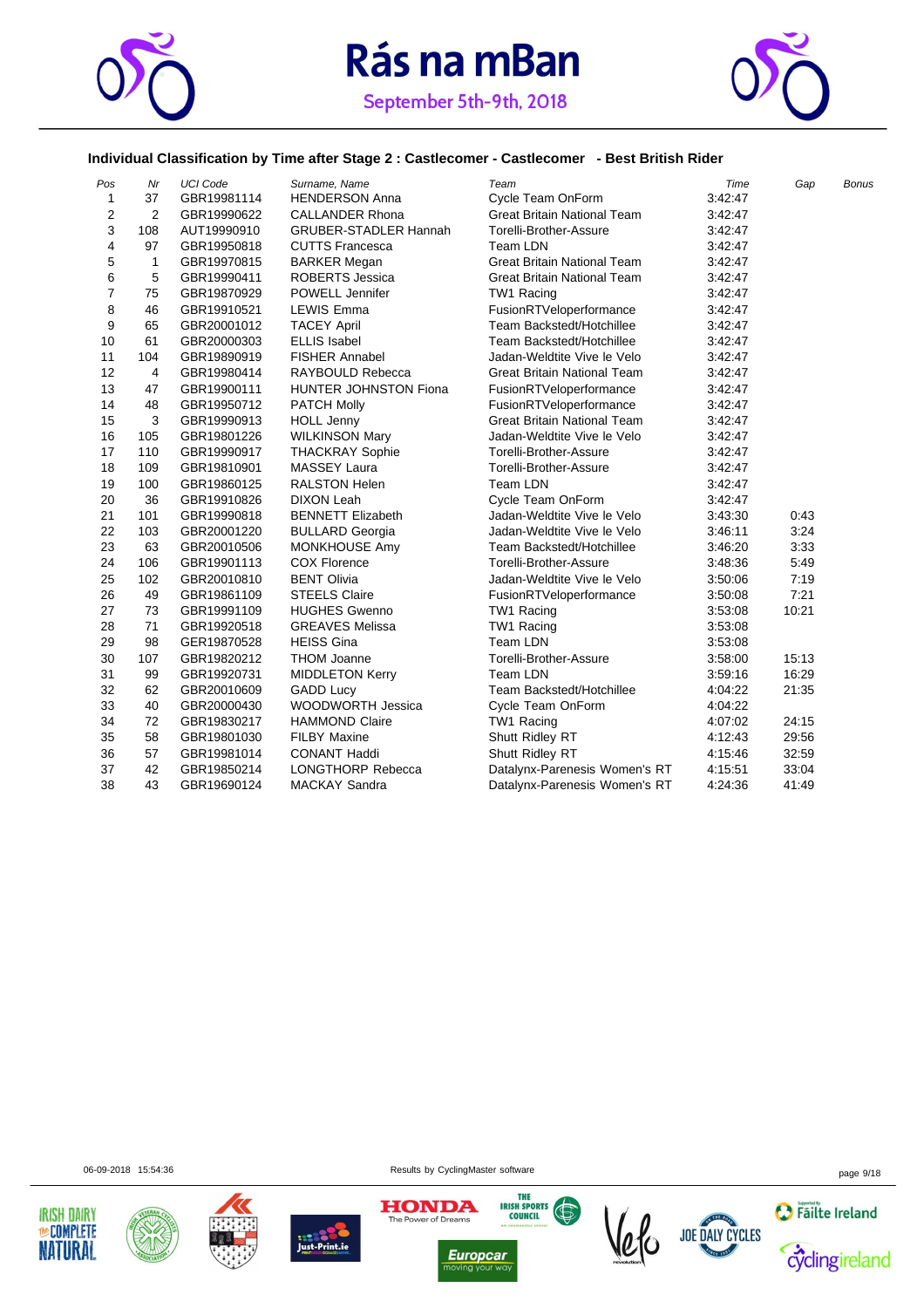



### **Individual Classification by Time after Stage 2 : Castlecomer - Castlecomer - Best British Rider**

| Pos            | Nr             | <b>UCI Code</b> | Surname, Name                | Team                               | Time    | Gap   | <b>Bonus</b> |
|----------------|----------------|-----------------|------------------------------|------------------------------------|---------|-------|--------------|
| 1              | 37             | GBR19981114     | <b>HENDERSON Anna</b>        | Cycle Team OnForm                  | 3:42:47 |       |              |
| 2              | 2              | GBR19990622     | <b>CALLANDER Rhona</b>       | <b>Great Britain National Team</b> | 3:42:47 |       |              |
| 3              | 108            | AUT19990910     | <b>GRUBER-STADLER Hannah</b> | Torelli-Brother-Assure             | 3:42:47 |       |              |
| 4              | 97             | GBR19950818     | <b>CUTTS Francesca</b>       | Team LDN                           | 3:42:47 |       |              |
| 5              | $\mathbf{1}$   | GBR19970815     | <b>BARKER Megan</b>          | <b>Great Britain National Team</b> | 3:42.47 |       |              |
| 6              | 5              | GBR19990411     | <b>ROBERTS Jessica</b>       | <b>Great Britain National Team</b> | 3:42:47 |       |              |
| $\overline{7}$ | 75             | GBR19870929     | POWELL Jennifer              | TW1 Racing                         | 3:42:47 |       |              |
| 8              | 46             | GBR19910521     | <b>LEWIS Emma</b>            | FusionRTVeloperformance            | 3:42:47 |       |              |
| 9              | 65             | GBR20001012     | <b>TACEY April</b>           | Team Backstedt/Hotchillee          | 3:42:47 |       |              |
| 10             | 61             | GBR20000303     | <b>ELLIS Isabel</b>          | Team Backstedt/Hotchillee          | 3:42:47 |       |              |
| 11             | 104            | GBR19890919     | <b>FISHER Annabel</b>        | Jadan-Weldtite Vive le Velo        | 3:42.47 |       |              |
| 12             | $\overline{4}$ | GBR19980414     | RAYBOULD Rebecca             | <b>Great Britain National Team</b> | 3:42.47 |       |              |
| 13             | 47             | GBR19900111     | <b>HUNTER JOHNSTON Fiona</b> | FusionRTVeloperformance            | 3:42:47 |       |              |
| 14             | 48             | GBR19950712     | <b>PATCH Molly</b>           | FusionRTVeloperformance            | 3:42:47 |       |              |
| 15             | 3              | GBR19990913     | <b>HOLL Jenny</b>            | <b>Great Britain National Team</b> | 3:42:47 |       |              |
| 16             | 105            | GBR19801226     | <b>WILKINSON Mary</b>        | Jadan-Weldtite Vive le Velo        | 3:42:47 |       |              |
| 17             | 110            | GBR19990917     | <b>THACKRAY Sophie</b>       | Torelli-Brother-Assure             | 3:42.47 |       |              |
| 18             | 109            | GBR19810901     | <b>MASSEY Laura</b>          | Torelli-Brother-Assure             | 3:42.47 |       |              |
| 19             | 100            | GBR19860125     | RALSTON Helen                | Team LDN                           | 3:42:47 |       |              |
| 20             | 36             | GBR19910826     | <b>DIXON Leah</b>            | Cycle Team OnForm                  | 3:42:47 |       |              |
| 21             | 101            | GBR19990818     | <b>BENNETT Elizabeth</b>     | Jadan-Weldtite Vive le Velo        | 3:43:30 | 0:43  |              |
| 22             | 103            | GBR20001220     | <b>BULLARD Georgia</b>       | Jadan-Weldtite Vive le Velo        | 3:46:11 | 3:24  |              |
| 23             | 63             | GBR20010506     | <b>MONKHOUSE Amy</b>         | Team Backstedt/Hotchillee          | 3:46:20 | 3:33  |              |
| 24             | 106            | GBR19901113     | <b>COX Florence</b>          | Torelli-Brother-Assure             | 3:48:36 | 5:49  |              |
| 25             | 102            | GBR20010810     | <b>BENT Olivia</b>           | Jadan-Weldtite Vive le Velo        | 3:50:06 | 7:19  |              |
| 26             | 49             | GBR19861109     | <b>STEELS Claire</b>         | FusionRTVeloperformance            | 3:50:08 | 7:21  |              |
| 27             | 73             | GBR19991109     | <b>HUGHES Gwenno</b>         | TW1 Racing                         | 3:53:08 | 10:21 |              |
| 28             | 71             | GBR19920518     | <b>GREAVES Melissa</b>       | TW1 Racing                         | 3:53:08 |       |              |
| 29             | 98             | GER19870528     | <b>HEISS Gina</b>            | Team LDN                           | 3:53:08 |       |              |
| 30             | 107            | GBR19820212     | <b>THOM Joanne</b>           | Torelli-Brother-Assure             | 3:58:00 | 15:13 |              |
| 31             | 99             | GBR19920731     | <b>MIDDLETON Kerry</b>       | Team LDN                           | 3:59:16 | 16:29 |              |
| 32             | 62             | GBR20010609     | <b>GADD Lucy</b>             | Team Backstedt/Hotchillee          | 4:04:22 | 21:35 |              |
| 33             | 40             | GBR20000430     | WOODWORTH Jessica            | Cycle Team OnForm                  | 4:04:22 |       |              |
| 34             | 72             | GBR19830217     | <b>HAMMOND Claire</b>        | TW1 Racing                         | 4:07:02 | 24:15 |              |
| 35             | 58             | GBR19801030     | <b>FILBY Maxine</b>          | Shutt Ridley RT                    | 4:12:43 | 29:56 |              |
| 36             | 57             | GBR19981014     | <b>CONANT Haddi</b>          | Shutt Ridley RT                    | 4:15:46 | 32:59 |              |
| 37             | 42             | GBR19850214     | <b>LONGTHORP Rebecca</b>     | Datalynx-Parenesis Women's RT      | 4:15:51 | 33:04 |              |
| 38             | 43             | GBR19690124     | <b>MACKAY Sandra</b>         | Datalynx-Parenesis Women's RT      | 4:24:36 | 41:49 |              |

06-09-2018 15:54:36 page 9/18













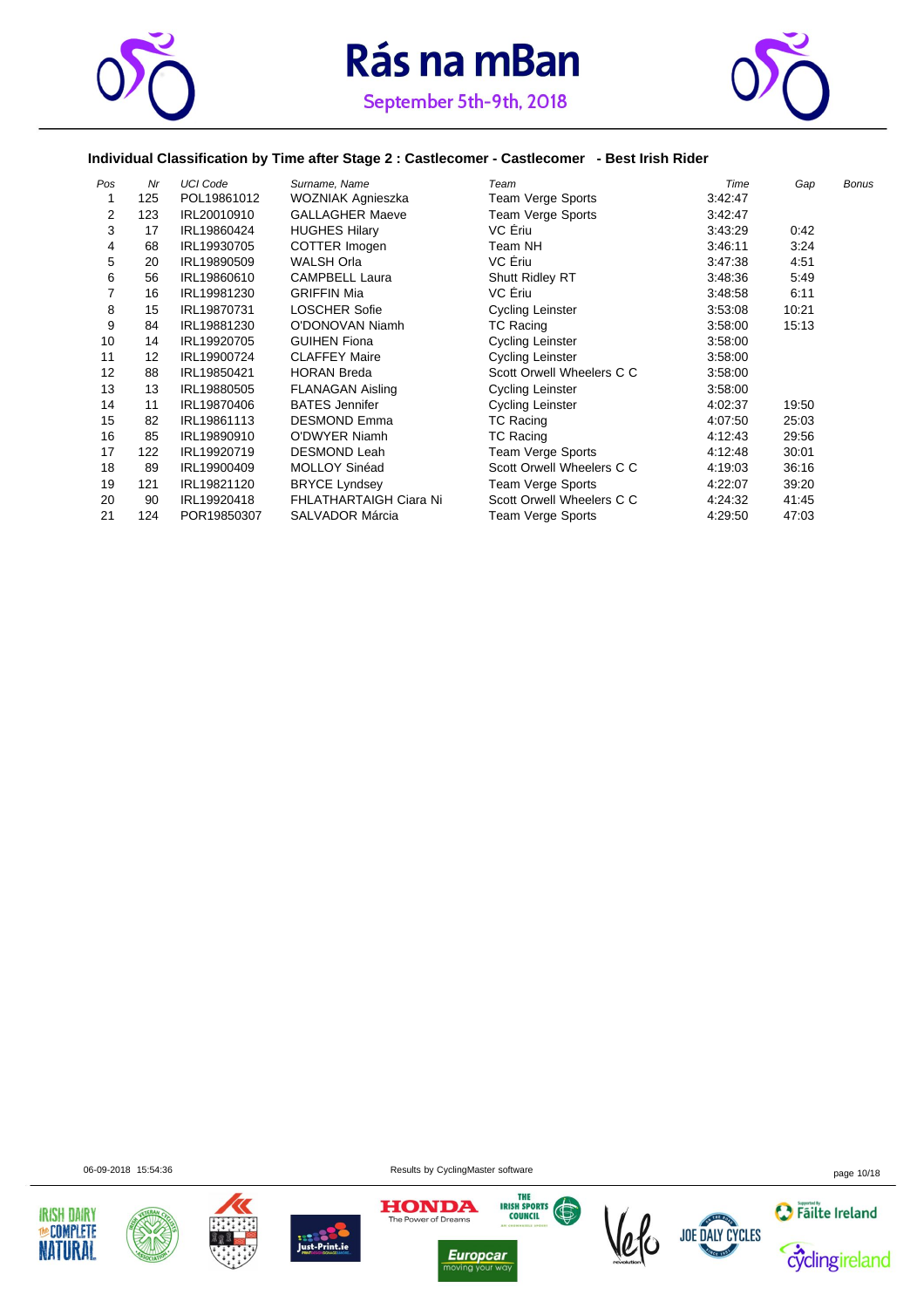



### **Individual Classification by Time after Stage 2 : Castlecomer - Castlecomer - Best Irish Rider**

| Pos | Nr  | <b>UCI Code</b> | Surname, Name                 | Team                      | Time    | Gap   | <b>Bonus</b> |
|-----|-----|-----------------|-------------------------------|---------------------------|---------|-------|--------------|
|     | 125 | POL19861012     | WOZNIAK Agnieszka             | Team Verge Sports         | 3:42:47 |       |              |
| 2   | 123 | IRL20010910     | <b>GALLAGHER Maeve</b>        | Team Verge Sports         | 3:42:47 |       |              |
| 3   | 17  | IRL19860424     | <b>HUGHES Hilary</b>          | VC Eriu                   | 3:43:29 | 0:42  |              |
| 4   | 68  | IRL19930705     | COTTER Imogen                 | Team NH                   | 3:46:11 | 3:24  |              |
| 5   | 20  | IRL19890509     | WALSH Orla                    | VC Ériu                   | 3:47:38 | 4:51  |              |
| 6   | 56  | IRL19860610     | <b>CAMPBELL Laura</b>         | <b>Shutt Ridley RT</b>    | 3:48:36 | 5:49  |              |
|     | 16  | IRL19981230     | <b>GRIFFIN Mia</b>            | VC Eriu                   | 3:48:58 | 6:11  |              |
| 8   | 15  | IRL19870731     | <b>LOSCHER Sofie</b>          | Cycling Leinster          | 3:53:08 | 10:21 |              |
| 9   | 84  | IRL19881230     | O'DONOVAN Niamh               | <b>TC Racing</b>          | 3:58:00 | 15:13 |              |
| 10  | 14  | IRL19920705     | <b>GUIHEN Fiona</b>           | <b>Cycling Leinster</b>   | 3:58:00 |       |              |
| 11  | 12  | IRL19900724     | <b>CLAFFEY Maire</b>          | Cycling Leinster          | 3:58:00 |       |              |
| 12  | 88  | IRL19850421     | <b>HORAN Breda</b>            | Scott Orwell Wheelers C C | 3:58:00 |       |              |
| 13  | 13  | IRL19880505     | <b>FLANAGAN Aisling</b>       | Cycling Leinster          | 3:58:00 |       |              |
| 14  | 11  | IRL19870406     | <b>BATES Jennifer</b>         | Cycling Leinster          | 4:02:37 | 19:50 |              |
| 15  | 82  | IRL19861113     | <b>DESMOND Emma</b>           | <b>TC Racing</b>          | 4:07:50 | 25:03 |              |
| 16  | 85  | IRL19890910     | <b>O'DWYER Niamh</b>          | <b>TC Racing</b>          | 4:12:43 | 29:56 |              |
| 17  | 122 | IRL19920719     | <b>DESMOND Leah</b>           | <b>Team Verge Sports</b>  | 4:12:48 | 30:01 |              |
| 18  | 89  | IRL19900409     | <b>MOLLOY Sinéad</b>          | Scott Orwell Wheelers C C | 4:19:03 | 36:16 |              |
| 19  | 121 | IRL19821120     | <b>BRYCE Lyndsey</b>          | Team Verge Sports         | 4:22:07 | 39:20 |              |
| 20  | 90  | IRL19920418     | <b>FHLATHARTAIGH Ciara Ni</b> | Scott Orwell Wheelers C C | 4:24:32 | 41:45 |              |
| 21  | 124 | POR19850307     | <b>SALVADOR Márcia</b>        | Team Verge Sports         | 4:29:50 | 47:03 |              |













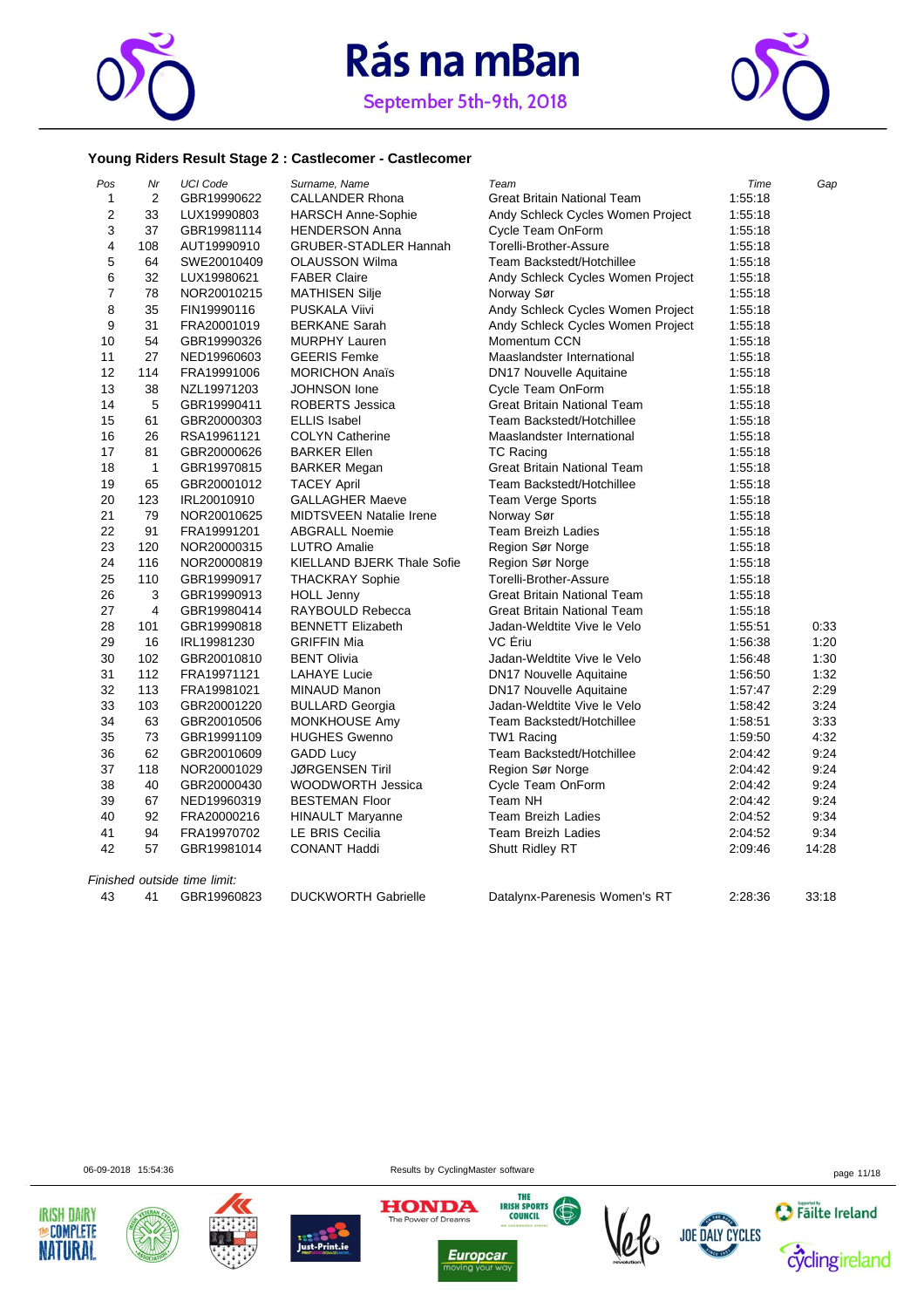



|                | Young Riders Result Stage 2 : Castlecomer - Castlecomer |                              |                                               |                                    |         |       |  |
|----------------|---------------------------------------------------------|------------------------------|-----------------------------------------------|------------------------------------|---------|-------|--|
| Pos            | Nr                                                      | <b>UCI Code</b>              | Surname, Name                                 | Team                               | Time    | Gap   |  |
| 1              | 2                                                       | GBR19990622                  | <b>CALLANDER Rhona</b>                        | <b>Great Britain National Team</b> | 1:55:18 |       |  |
| $\overline{2}$ | 33                                                      | LUX19990803                  | <b>HARSCH Anne-Sophie</b>                     | Andy Schleck Cycles Women Project  | 1:55:18 |       |  |
| 3              | 37                                                      | GBR19981114                  | <b>HENDERSON Anna</b>                         | Cycle Team OnForm                  | 1:55:18 |       |  |
| 4              | 108                                                     | AUT19990910                  | <b>GRUBER-STADLER Hannah</b>                  | Torelli-Brother-Assure             | 1:55:18 |       |  |
| 5              | 64                                                      | SWE20010409                  | <b>OLAUSSON Wilma</b>                         | Team Backstedt/Hotchillee          | 1:55:18 |       |  |
| 6              | 32                                                      | LUX19980621                  | <b>FABER Claire</b>                           | Andy Schleck Cycles Women Project  | 1:55:18 |       |  |
| $\overline{7}$ | 78                                                      | NOR20010215                  | <b>MATHISEN Silje</b>                         | Norway Sør                         | 1:55:18 |       |  |
| 8              | 35                                                      | FIN19990116                  | PUSKALA Viivi                                 | Andy Schleck Cycles Women Project  | 1:55:18 |       |  |
| 9              | 31                                                      | FRA20001019                  | <b>BERKANE Sarah</b>                          | Andy Schleck Cycles Women Project  | 1:55:18 |       |  |
| 10             | 54                                                      | GBR19990326                  | <b>MURPHY Lauren</b>                          | Momentum CCN                       | 1:55:18 |       |  |
| 11             | 27                                                      | NED19960603                  | <b>GEERIS Femke</b>                           | Maaslandster International         | 1:55:18 |       |  |
| 12             | 114                                                     | FRA19991006                  | <b>MORICHON Anaïs</b>                         | <b>DN17 Nouvelle Aquitaine</b>     | 1:55:18 |       |  |
| 13             | 38                                                      | NZL19971203                  | <b>JOHNSON</b> lone                           | Cycle Team OnForm                  | 1:55:18 |       |  |
| 14             | 5                                                       | GBR19990411                  | <b>ROBERTS Jessica</b>                        | <b>Great Britain National Team</b> | 1:55:18 |       |  |
| 15             | 61                                                      | GBR20000303                  | <b>ELLIS Isabel</b>                           | Team Backstedt/Hotchillee          | 1:55:18 |       |  |
| 16             | 26                                                      | RSA19961121                  | <b>COLYN Catherine</b>                        | Maaslandster International         | 1:55:18 |       |  |
| 17             | 81                                                      | GBR20000626                  | <b>BARKER Ellen</b>                           | <b>TC Racing</b>                   | 1:55:18 |       |  |
| 18             | $\mathbf{1}$                                            | GBR19970815                  | <b>BARKER Megan</b>                           | <b>Great Britain National Team</b> | 1:55:18 |       |  |
| 19             | 65                                                      | GBR20001012                  | <b>TACEY April</b>                            | Team Backstedt/Hotchillee          | 1:55:18 |       |  |
| 20             | 123                                                     | IRL20010910                  | <b>GALLAGHER Maeve</b>                        | <b>Team Verge Sports</b>           | 1:55:18 |       |  |
| 21             | 79                                                      | NOR20010625                  | <b>MIDTSVEEN Natalie Irene</b>                | Norway Sør                         | 1:55:18 |       |  |
| 22             | 91                                                      | FRA19991201                  | <b>ABGRALL Noemie</b>                         | <b>Team Breizh Ladies</b>          | 1:55:18 |       |  |
| 23             | 120                                                     | NOR20000315                  | <b>LUTRO Amalie</b>                           | Region Sør Norge                   | 1:55:18 |       |  |
| 24             | 116                                                     | NOR20000819                  | <b>KIELLAND BJERK Thale Sofie</b>             | Region Sør Norge                   | 1:55:18 |       |  |
| 25             | 110                                                     | GBR19990917                  | <b>THACKRAY Sophie</b>                        | Torelli-Brother-Assure             | 1:55:18 |       |  |
| 26             | 3                                                       | GBR19990913                  | <b>HOLL Jenny</b>                             | <b>Great Britain National Team</b> | 1:55:18 |       |  |
| 27             | 4                                                       | GBR19980414                  | RAYBOULD Rebecca                              | Great Britain National Team        | 1:55:18 |       |  |
| 28             | 101                                                     | GBR19990818                  | <b>BENNETT Elizabeth</b>                      | Jadan-Weldtite Vive le Velo        | 1:55:51 | 0:33  |  |
| 29             | 16                                                      | IRL19981230                  | <b>GRIFFIN Mia</b>                            | VC Ériu                            | 1:56:38 | 1:20  |  |
| 30             | 102                                                     | GBR20010810                  | <b>BENT Olivia</b>                            | Jadan-Weldtite Vive le Velo        | 1:56:48 | 1:30  |  |
| 31             | 112                                                     | FRA19971121                  | <b>LAHAYE Lucie</b>                           | <b>DN17 Nouvelle Aquitaine</b>     | 1:56:50 | 1:32  |  |
| 32             | 113                                                     | FRA19981021                  | MINAUD Manon                                  | DN17 Nouvelle Aquitaine            | 1:57:47 | 2:29  |  |
| 33             | 103                                                     | GBR20001220                  | <b>BULLARD Georgia</b>                        | Jadan-Weldtite Vive le Velo        | 1:58:42 | 3:24  |  |
| 34             | 63                                                      | GBR20010506                  | MONKHOUSE Amy                                 | Team Backstedt/Hotchillee          | 1:58:51 | 3:33  |  |
| 35             | 73                                                      | GBR19991109                  | <b>HUGHES Gwenno</b>                          | TW1 Racing                         | 1:59:50 | 4:32  |  |
| 36             | 62                                                      | GBR20010609                  | <b>GADD Lucy</b>                              | Team Backstedt/Hotchillee          | 2:04:42 | 9:24  |  |
| 37             | 118                                                     | NOR20001029                  | <b>JØRGENSEN Tiril</b>                        | Region Sør Norge                   | 2:04:42 | 9:24  |  |
| 38             | 40                                                      | GBR20000430                  | <b>WOODWORTH Jessica</b>                      | Cycle Team OnForm                  | 2:04:42 | 9:24  |  |
| 39             | 67                                                      | NED19960319                  | <b>BESTEMAN Floor</b>                         | Team NH                            | 2:04:42 | 9:24  |  |
| 40             | 92                                                      | FRA20000216                  | <b>HINAULT Maryanne</b>                       | <b>Team Breizh Ladies</b>          | 2:04:52 | 9:34  |  |
| 41<br>42       | 94<br>57                                                | FRA19970702                  | <b>LE BRIS Cecilia</b><br><b>CONANT Haddi</b> | <b>Team Breizh Ladies</b>          | 2:04:52 | 9:34  |  |
|                |                                                         | GBR19981014                  |                                               | Shutt Ridley RT                    | 2:09:46 | 14:28 |  |
|                |                                                         | Finished outside time limit: |                                               |                                    |         |       |  |
| 43             | 41                                                      | GBR19960823                  | <b>DUCKWORTH Gabrielle</b>                    | Datalynx-Parenesis Women's RT      | 2:28:36 | 33:18 |  |

06-09-2018 15:54:36 page 11/18















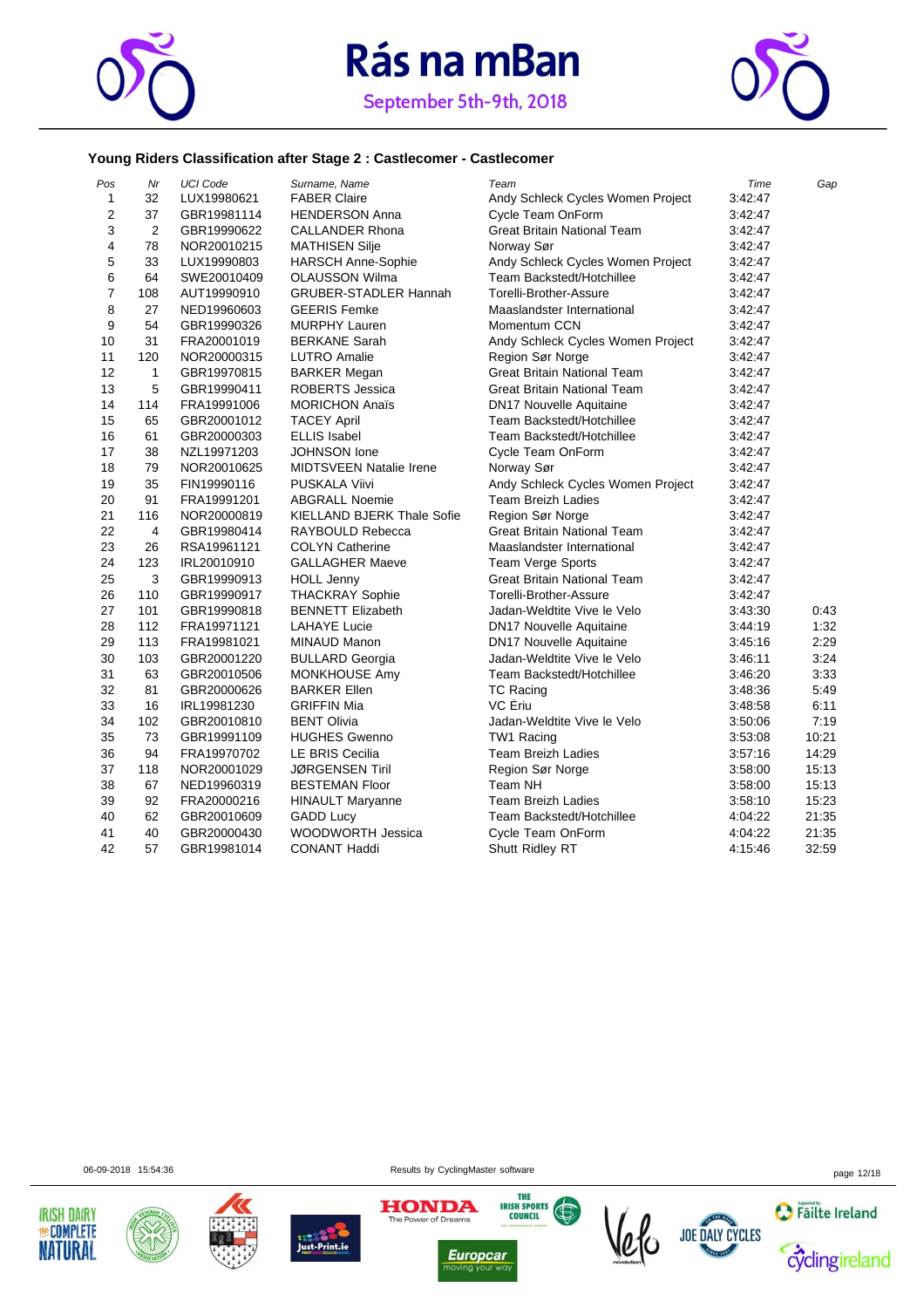



### **Young Riders Classification after Stage 2 : Castlecomer - Castlecomer**

| Pos            | Nr  | <b>UCI Code</b> | Surname, Name                     | Team                               | Time    | Gap   |
|----------------|-----|-----------------|-----------------------------------|------------------------------------|---------|-------|
| $\mathbf{1}$   | 32  | LUX19980621     | <b>FABER Claire</b>               | Andy Schleck Cycles Women Project  | 3:42:47 |       |
| $\overline{2}$ | 37  | GBR19981114     | <b>HENDERSON Anna</b>             | Cycle Team OnForm                  | 3:42:47 |       |
| 3              | 2   | GBR19990622     | <b>CALLANDER Rhona</b>            | <b>Great Britain National Team</b> | 3:42:47 |       |
| 4              | 78  | NOR20010215     | <b>MATHISEN Silje</b>             | Norway Sør                         | 3:42:47 |       |
| 5              | 33  | LUX19990803     | <b>HARSCH Anne-Sophie</b>         | Andy Schleck Cycles Women Project  | 3:42:47 |       |
| 6              | 64  | SWE20010409     | <b>OLAUSSON Wilma</b>             | Team Backstedt/Hotchillee          | 3:42:47 |       |
| $\overline{7}$ | 108 | AUT19990910     | <b>GRUBER-STADLER Hannah</b>      | <b>Torelli-Brother-Assure</b>      | 3:42:47 |       |
| 8              | 27  | NED19960603     | <b>GEERIS Femke</b>               | Maaslandster International         | 3:42:47 |       |
| 9              | 54  | GBR19990326     | <b>MURPHY Lauren</b>              | Momentum CCN                       | 3:42:47 |       |
| 10             | 31  | FRA20001019     | <b>BERKANE Sarah</b>              | Andy Schleck Cycles Women Project  | 3:42:47 |       |
| 11             | 120 | NOR20000315     | <b>LUTRO</b> Amalie               | Region Sør Norge                   | 3:42:47 |       |
| 12             | 1   | GBR19970815     | <b>BARKER Megan</b>               | <b>Great Britain National Team</b> | 3:42:47 |       |
| 13             | 5   | GBR19990411     | ROBERTS Jessica                   | <b>Great Britain National Team</b> | 3:42:47 |       |
| 14             | 114 | FRA19991006     | <b>MORICHON Anaïs</b>             | <b>DN17 Nouvelle Aquitaine</b>     | 3:42:47 |       |
| 15             | 65  | GBR20001012     | <b>TACEY April</b>                | Team Backstedt/Hotchillee          | 3:42:47 |       |
| 16             | 61  | GBR20000303     | <b>ELLIS Isabel</b>               | Team Backstedt/Hotchillee          | 3:42:47 |       |
| 17             | 38  | NZL19971203     | <b>JOHNSON</b> lone               | Cycle Team OnForm                  | 3:42:47 |       |
| 18             | 79  | NOR20010625     | <b>MIDTSVEEN Natalie Irene</b>    | Norway Sør                         | 3:42:47 |       |
| 19             | 35  | FIN19990116     | <b>PUSKALA Viivi</b>              | Andy Schleck Cycles Women Project  | 3:42:47 |       |
| 20             | 91  | FRA19991201     | <b>ABGRALL Noemie</b>             | <b>Team Breizh Ladies</b>          | 3:42:47 |       |
| 21             | 116 | NOR20000819     | <b>KIELLAND BJERK Thale Sofie</b> | Region Sør Norge                   | 3:42:47 |       |
| 22             | 4   | GBR19980414     | RAYBOULD Rebecca                  | <b>Great Britain National Team</b> | 3:42:47 |       |
| 23             | 26  | RSA19961121     | <b>COLYN Catherine</b>            | Maaslandster International         | 3:42:47 |       |
| 24             | 123 | IRL20010910     | <b>GALLAGHER Maeve</b>            | Team Verge Sports                  | 3:42:47 |       |
| 25             | 3   | GBR19990913     | <b>HOLL Jenny</b>                 | <b>Great Britain National Team</b> | 3:42:47 |       |
| 26             | 110 | GBR19990917     | <b>THACKRAY Sophie</b>            | Torelli-Brother-Assure             | 3:42:47 |       |
| 27             | 101 | GBR19990818     | <b>BENNETT Elizabeth</b>          | Jadan-Weldtite Vive le Velo        | 3:43:30 | 0:43  |
| 28             | 112 | FRA19971121     | <b>LAHAYE Lucie</b>               | <b>DN17 Nouvelle Aquitaine</b>     | 3:44:19 | 1:32  |
| 29             | 113 | FRA19981021     | MINAUD Manon                      | DN17 Nouvelle Aquitaine            | 3:45:16 | 2:29  |
| 30             | 103 | GBR20001220     | <b>BULLARD Georgia</b>            | Jadan-Weldtite Vive le Velo        | 3:46:11 | 3:24  |
| 31             | 63  | GBR20010506     | MONKHOUSE Amy                     | Team Backstedt/Hotchillee          | 3:46:20 | 3:33  |
| 32             | 81  | GBR20000626     | <b>BARKER Ellen</b>               | TC Racing                          | 3:48:36 | 5:49  |
| 33             | 16  | IRL19981230     | <b>GRIFFIN Mia</b>                | VC Ériu                            | 3:48:58 | 6:11  |
| 34             | 102 | GBR20010810     | <b>BENT Olivia</b>                | Jadan-Weldtite Vive le Velo        | 3:50:06 | 7:19  |
| 35             | 73  | GBR19991109     | <b>HUGHES Gwenno</b>              | TW1 Racing                         | 3:53:08 | 10:21 |
| 36             | 94  | FRA19970702     | <b>LE BRIS Cecilia</b>            | <b>Team Breizh Ladies</b>          | 3:57:16 | 14:29 |
| 37             | 118 | NOR20001029     | <b>JØRGENSEN Tiril</b>            | Region Sør Norge                   | 3:58:00 | 15:13 |
| 38             | 67  | NED19960319     | <b>BESTEMAN Floor</b>             | Team NH                            | 3:58:00 | 15:13 |
| 39             | 92  | FRA20000216     | <b>HINAULT Maryanne</b>           | <b>Team Breizh Ladies</b>          | 3:58:10 | 15:23 |
| 40             | 62  | GBR20010609     | <b>GADD Lucy</b>                  | Team Backstedt/Hotchillee          | 4:04:22 | 21:35 |
| 41             | 40  | GBR20000430     | WOODWORTH Jessica                 | Cycle Team OnForm                  | 4:04:22 | 21:35 |
| 42             | 57  | GBR19981014     | <b>CONANT Haddi</b>               | Shutt Ridley RT                    | 4:15:46 | 32:59 |

06-09-2018 15:54:36 page 12/18













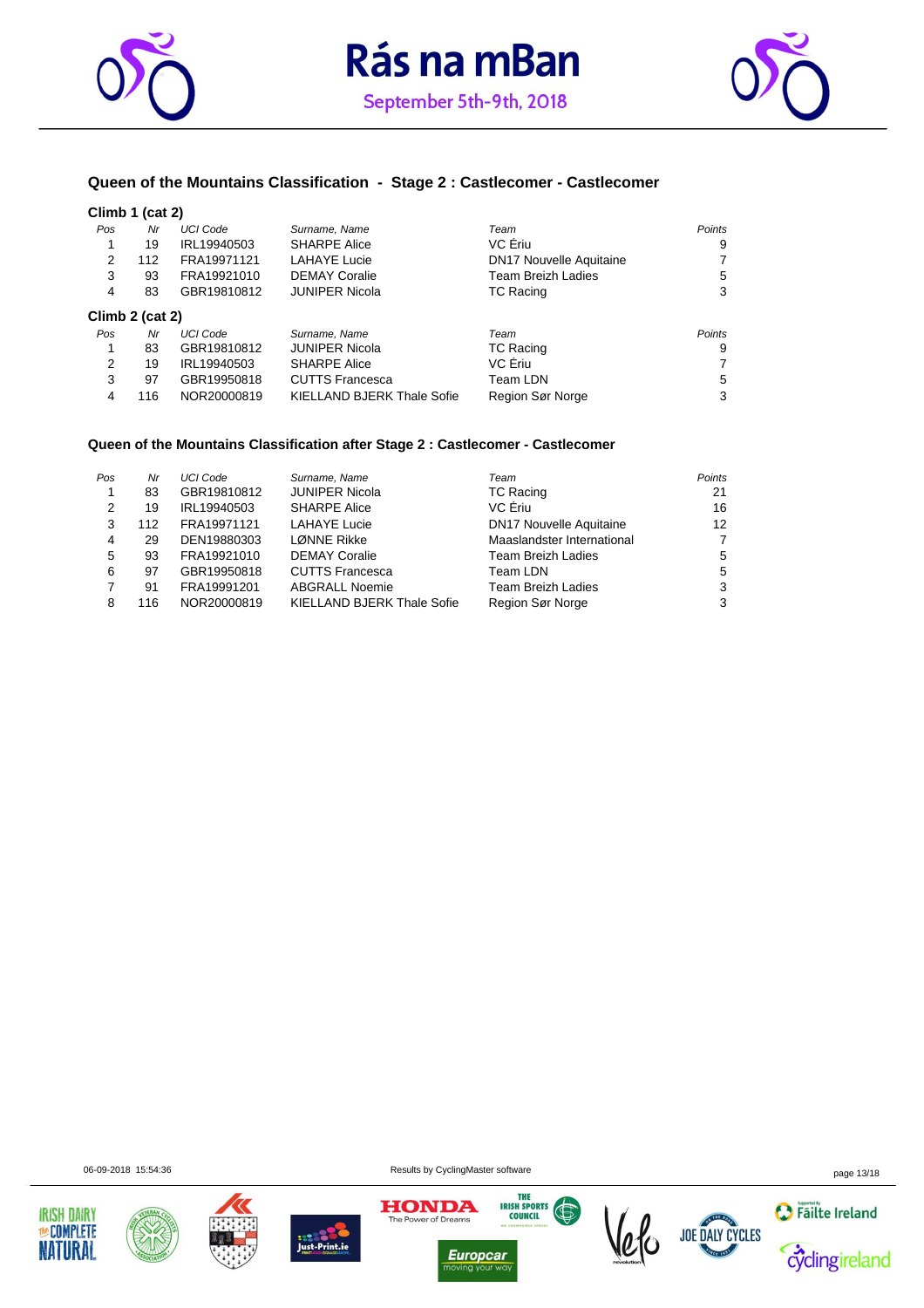





### **Queen of the Mountains Classification - Stage 2 : Castlecomer - Castlecomer**

#### **Climb 1 (cat 2)**

| Pos | Nr              | <b>UCI Code</b> | Surname, Name              | Team                           | Points        |
|-----|-----------------|-----------------|----------------------------|--------------------------------|---------------|
|     | 19              | IRL19940503     | <b>SHARPE Alice</b>        | VC Eriu                        | 9             |
| 2   | 112             | FRA19971121     | <b>LAHAYE Lucie</b>        | <b>DN17 Nouvelle Aquitaine</b> |               |
| 3   | 93              | FRA19921010     | <b>DEMAY Coralie</b>       | Team Breizh Ladies             | 5             |
| 4   | 83              | GBR19810812     | <b>JUNIPER Nicola</b>      | <b>TC Racing</b>               | 3             |
|     | Climb 2 (cat 2) |                 |                            |                                |               |
| Pos | Nr              | <b>UCI Code</b> | Surname, Name              | Team                           | <b>Points</b> |
| 1   | 83              | GBR19810812     | <b>JUNIPER Nicola</b>      | <b>TC Racing</b>               | 9             |
| 2   | 19              | IRL19940503     | <b>SHARPE Alice</b>        | VC Ériu                        |               |
| 3   | 97              | GBR19950818     | <b>CUTTS Francesca</b>     | Team LDN                       | 5             |
| 4   | 116             | NOR20000819     | KIELLAND BJERK Thale Sofie | Region Sør Norge               | 3             |

#### **Queen of the Mountains Classification after Stage 2 : Castlecomer - Castlecomer**

| Pos | Nr  | <b>UCI Code</b> | Surname, Name                     | Team                           | Points |
|-----|-----|-----------------|-----------------------------------|--------------------------------|--------|
|     | 83  | GBR19810812     | <b>JUNIPER Nicola</b>             | <b>TC Racing</b>               | 21     |
| 2   | 19  | IRL19940503     | <b>SHARPE Alice</b>               | VC Eriu                        | 16     |
| 3   | 112 | FRA19971121     | <b>LAHAYE Lucie</b>               | <b>DN17 Nouvelle Aquitaine</b> | 12     |
| 4   | 29  | DEN19880303     | LØNNE Rikke                       | Maaslandster International     | 7      |
| 5   | 93  | FRA19921010     | <b>DEMAY Coralie</b>              | <b>Team Breizh Ladies</b>      | 5      |
| 6   | 97  | GBR19950818     | <b>CUTTS Francesca</b>            | Team LDN                       | 5      |
|     | 91  | FRA19991201     | <b>ABGRALL Noemie</b>             | <b>Team Breizh Ladies</b>      | 3      |
| 8   | 116 | NOR20000819     | <b>KIELLAND BJERK Thale Sofie</b> | Region Sør Norge               | 3      |

06-09-2018 15:54:36 page 13/18













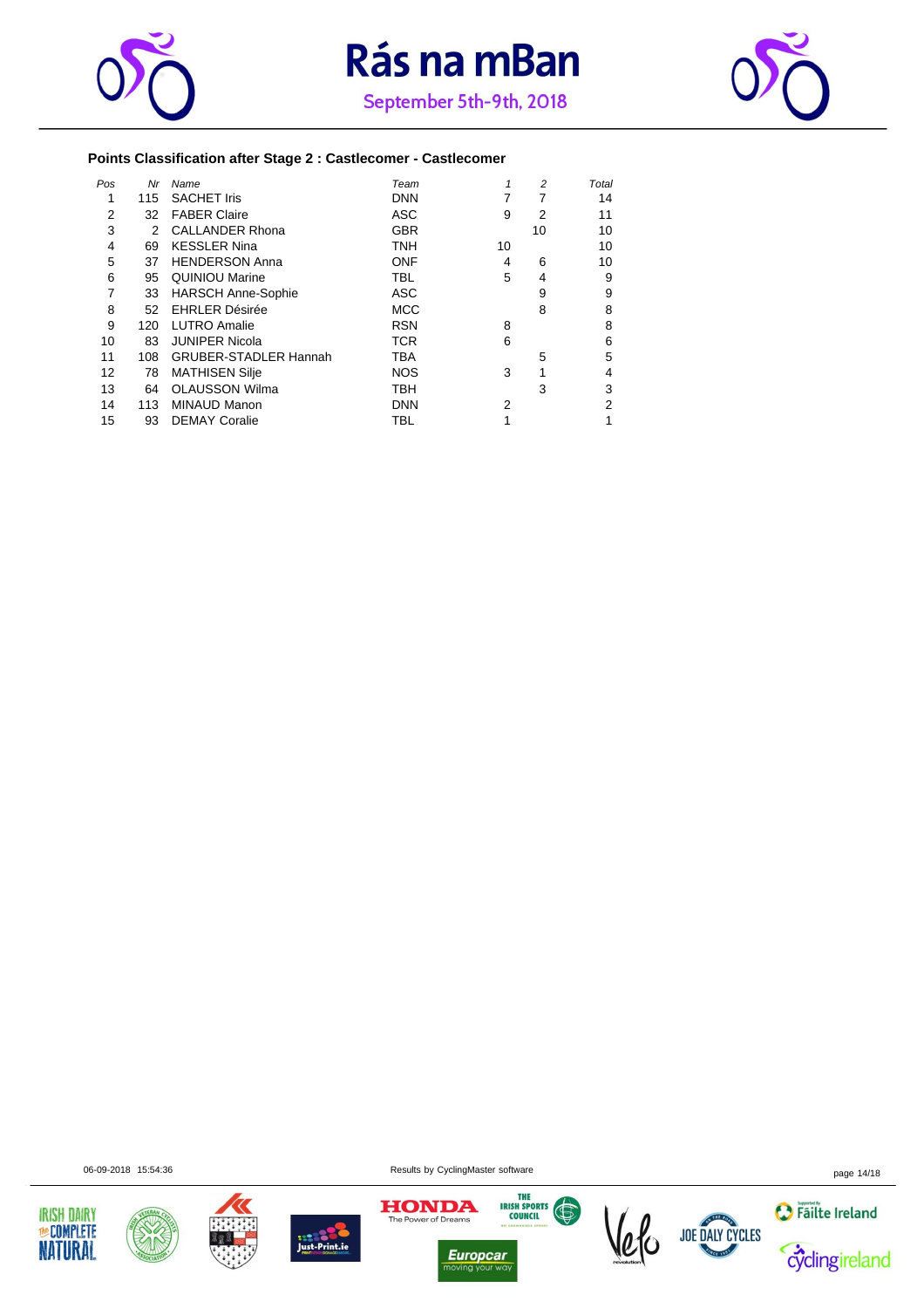





### **Points Classification after Stage 2 : Castlecomer - Castlecomer**

| Pos | Nr  | Name                         | Team       |    | 2              | Total |
|-----|-----|------------------------------|------------|----|----------------|-------|
| 1   | 115 | <b>SACHET Iris</b>           | <b>DNN</b> |    |                | 14    |
| 2   | 32  | <b>FABER Claire</b>          | <b>ASC</b> | 9  | $\overline{2}$ | 11    |
| 3   | 2   | <b>CALLANDER Rhona</b>       | <b>GBR</b> |    | 10             | 10    |
| 4   | 69  | <b>KESSLER Nina</b>          | <b>TNH</b> | 10 |                | 10    |
| 5   | 37  | <b>HENDERSON Anna</b>        | <b>ONF</b> | 4  | 6              | 10    |
| 6   | 95  | <b>QUINIOU Marine</b>        | <b>TBL</b> | 5  | 4              | 9     |
| 7   | 33  | <b>HARSCH Anne-Sophie</b>    | <b>ASC</b> |    | 9              | 9     |
| 8   | 52  | <b>EHRLER Désirée</b>        | <b>MCC</b> |    | 8              | 8     |
| 9   | 120 | <b>LUTRO Amalie</b>          | <b>RSN</b> | 8  |                | 8     |
| 10  | 83  | <b>JUNIPER Nicola</b>        | <b>TCR</b> | 6  |                | 6     |
| 11  | 108 | <b>GRUBER-STADLER Hannah</b> | <b>TBA</b> |    | 5              | 5     |
| 12  | 78  | <b>MATHISEN Silje</b>        | <b>NOS</b> | 3  |                | 4     |
| 13  | 64  | <b>OLAUSSON Wilma</b>        | <b>TBH</b> |    | 3              | 3     |
| 14  | 113 | <b>MINAUD Manon</b>          | <b>DNN</b> | 2  |                | 2     |
| 15  | 93  | <b>DEMAY Coralie</b>         | <b>TBL</b> |    |                | 1     |
|     |     |                              |            |    |                |       |













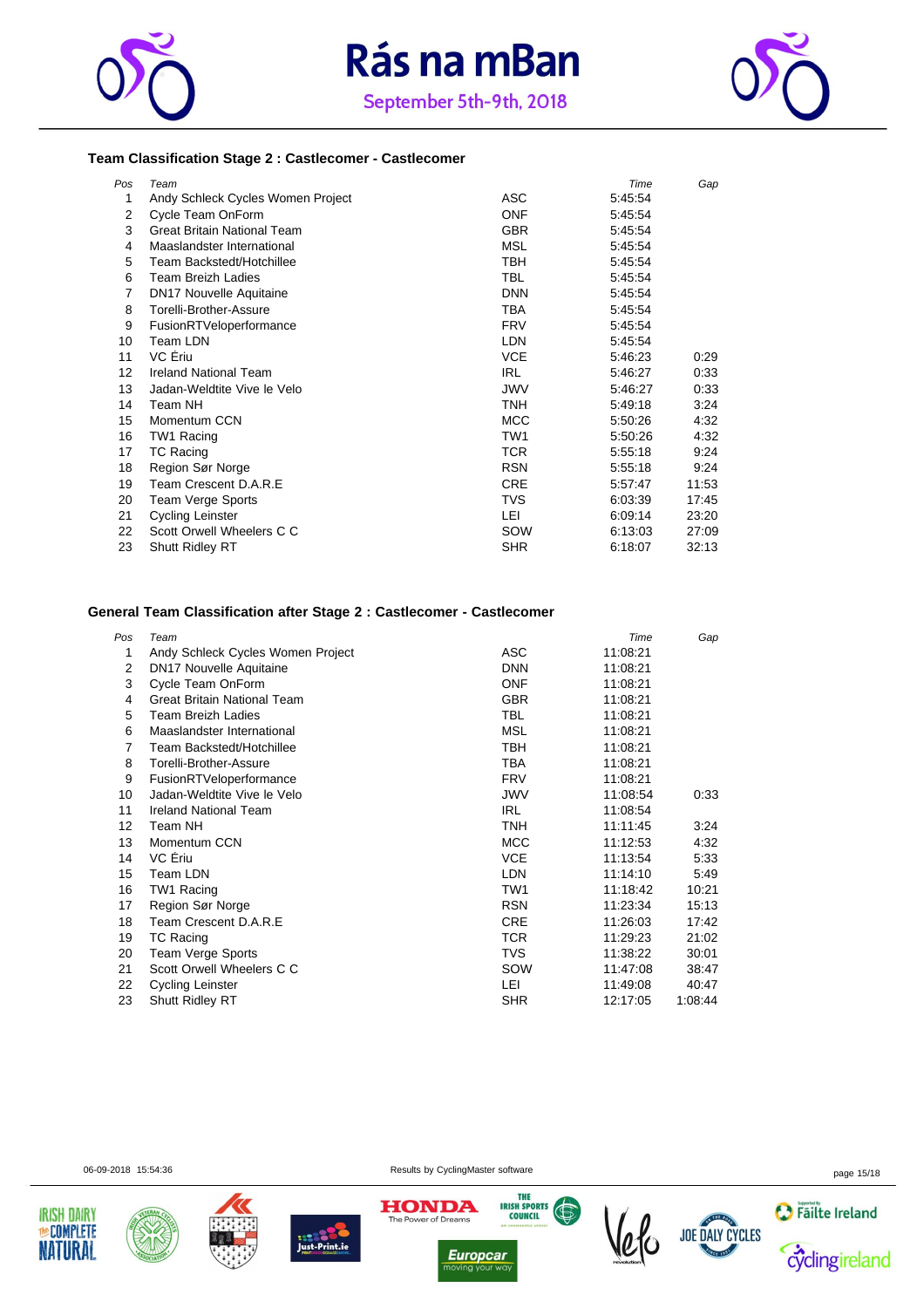





#### **Team Classification Stage 2 : Castlecomer - Castlecomer**

| Pos | Team                               |                 | Time    | Gap   |
|-----|------------------------------------|-----------------|---------|-------|
| 1   | Andy Schleck Cycles Women Project  | <b>ASC</b>      | 5:45:54 |       |
| 2   | Cycle Team OnForm                  | <b>ONF</b>      | 5:45:54 |       |
| 3   | <b>Great Britain National Team</b> | <b>GBR</b>      | 5:45:54 |       |
| 4   | Maaslandster International         | <b>MSL</b>      | 5:45:54 |       |
| 5   | Team Backstedt/Hotchillee          | TBH             | 5:45:54 |       |
| 6   | <b>Team Breizh Ladies</b>          | <b>TBL</b>      | 5:45:54 |       |
| 7   | <b>DN17 Nouvelle Aquitaine</b>     | <b>DNN</b>      | 5:45:54 |       |
| 8   | Torelli-Brother-Assure             | TBA             | 5:45:54 |       |
| 9   | FusionRTVeloperformance            | <b>FRV</b>      | 5:45:54 |       |
| 10  | Team LDN                           | <b>LDN</b>      | 5:45:54 |       |
| 11  | VC Ériu                            | <b>VCE</b>      | 5:46:23 | 0:29  |
| 12  | <b>Ireland National Team</b>       | <b>IRL</b>      | 5:46:27 | 0:33  |
| 13  | Jadan-Weldtite Vive le Velo        | <b>JWV</b>      | 5:46:27 | 0.33  |
| 14  | Team NH                            | <b>TNH</b>      | 5:49:18 | 3:24  |
| 15  | Momentum CCN                       | <b>MCC</b>      | 5:50:26 | 4:32  |
| 16  | TW1 Racing                         | TW <sub>1</sub> | 5:50:26 | 4.32  |
| 17  | <b>TC Racing</b>                   | <b>TCR</b>      | 5:55:18 | 9:24  |
| 18  | Region Sør Norge                   | <b>RSN</b>      | 5:55:18 | 9:24  |
| 19  | Team Crescent D.A.R.E              | <b>CRE</b>      | 5:57:47 | 11:53 |
| 20  | Team Verge Sports                  | <b>TVS</b>      | 6:03:39 | 17:45 |
| 21  | Cycling Leinster                   | LEI             | 6:09:14 | 23:20 |
| 22  | Scott Orwell Wheelers C C          | SOW             | 6:13:03 | 27:09 |
| 23  | <b>Shutt Ridley RT</b>             | <b>SHR</b>      | 6:18:07 | 32:13 |

### **General Team Classification after Stage 2 : Castlecomer - Castlecomer**

| Pos | Team                               |            | Time     | Gap     |
|-----|------------------------------------|------------|----------|---------|
| 1   | Andy Schleck Cycles Women Project  | ASC        | 11:08:21 |         |
| 2   | <b>DN17 Nouvelle Aquitaine</b>     | <b>DNN</b> | 11:08:21 |         |
| 3   | Cycle Team OnForm                  | ONF        | 11:08:21 |         |
| 4   | <b>Great Britain National Team</b> | <b>GBR</b> | 11:08:21 |         |
| 5   | <b>Team Breizh Ladies</b>          | TBL        | 11:08:21 |         |
| 6   | Maaslandster International         | <b>MSL</b> | 11:08:21 |         |
| 7   | Team Backstedt/Hotchillee          | <b>TBH</b> | 11:08:21 |         |
| 8   | Torelli-Brother-Assure             | TBA        | 11:08:21 |         |
| 9   | FusionRTVeloperformance            | <b>FRV</b> | 11:08:21 |         |
| 10  | Jadan-Weldtite Vive le Velo        | JWV        | 11:08:54 | 0:33    |
| 11  | <b>Ireland National Team</b>       | <b>IRL</b> | 11:08:54 |         |
| 12  | Team NH                            | TNH        | 11:11:45 | 3:24    |
| 13  | Momentum CCN                       | <b>MCC</b> | 11:12:53 | 4:32    |
| 14  | VC Eriu                            | <b>VCE</b> | 11:13:54 | 5:33    |
| 15  | Team LDN                           | LDN        | 11:14:10 | 5:49    |
| 16  | TW1 Racing                         | TW1        | 11:18:42 | 10:21   |
| 17  | Region Sør Norge                   | <b>RSN</b> | 11:23:34 | 15:13   |
| 18  | Team Crescent D.A.R.E              | <b>CRE</b> | 11:26:03 | 17:42   |
| 19  | TC Racing                          | TCR.       | 11:29:23 | 21:02   |
| 20  | <b>Team Verge Sports</b>           | TVS        | 11:38:22 | 30:01   |
| 21  | Scott Orwell Wheelers C C          | SOW        | 11.47:08 | 38:47   |
| 22  | Cycling Leinster                   | LEI        | 11:49:08 | 40:47   |
| 23  | <b>Shutt Ridley RT</b>             | <b>SHR</b> | 12:17:05 | 1.08.44 |

**IRISH DAIRY** 

**MeCOMPLETE** 

**NATURAL** 







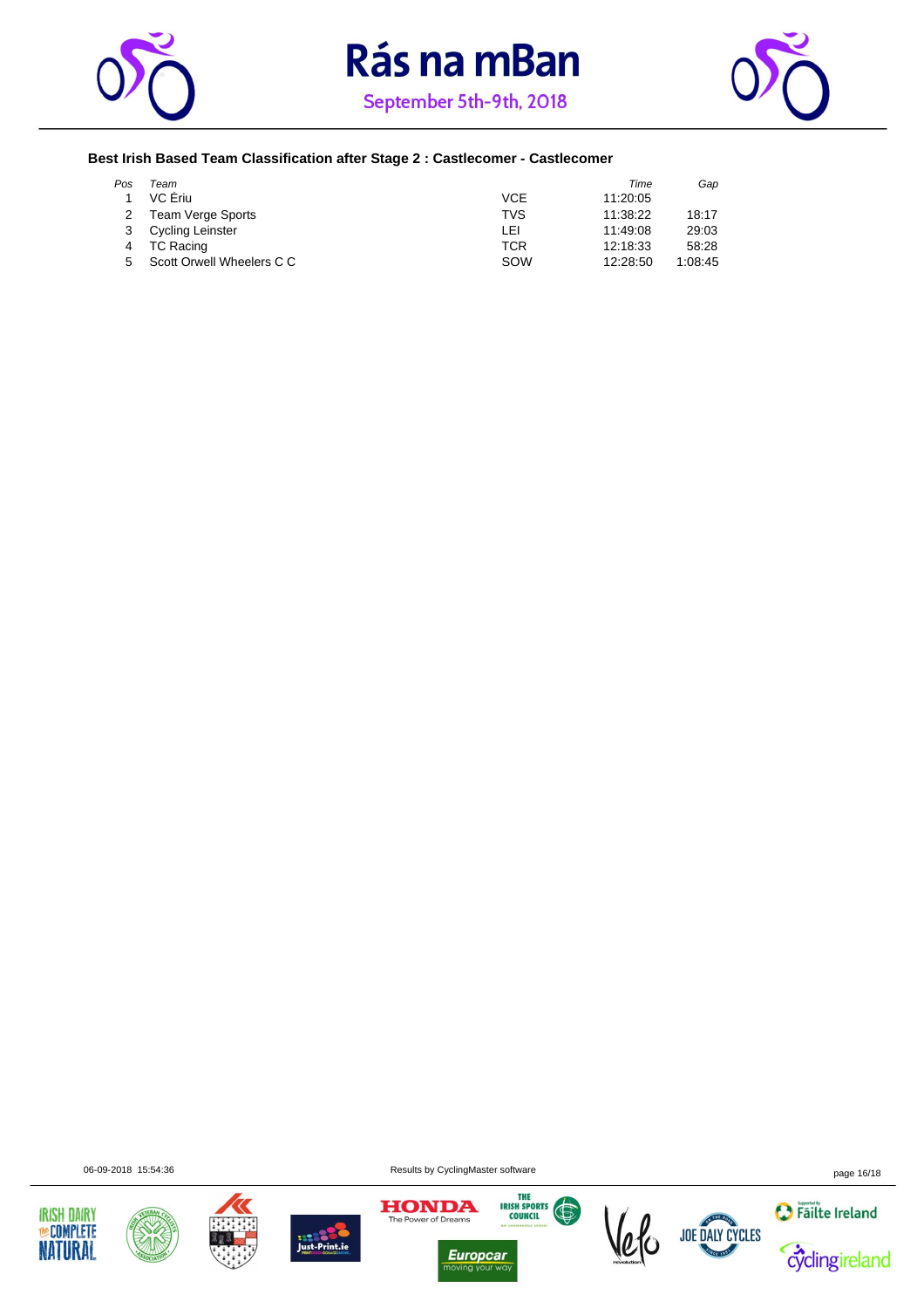





### **Best Irish Based Team Classification after Stage 2 : Castlecomer - Castlecomer**

| Pos | Team                      |     | Time     | Gap     |
|-----|---------------------------|-----|----------|---------|
|     | VC Eriu                   | VCE | 11:20:05 |         |
|     | <b>Team Verge Sports</b>  | TVS | 11:38:22 | 18:17   |
|     | <b>Cycling Leinster</b>   | LEI | 11:49:08 | 29:03   |
|     | TC Racing                 | TCR | 12:18:33 | 58.28   |
| 5   | Scott Orwell Wheelers C C | SOW | 12:28:50 | 1:08:45 |

06-09-2018 15:54:36 page 16/18















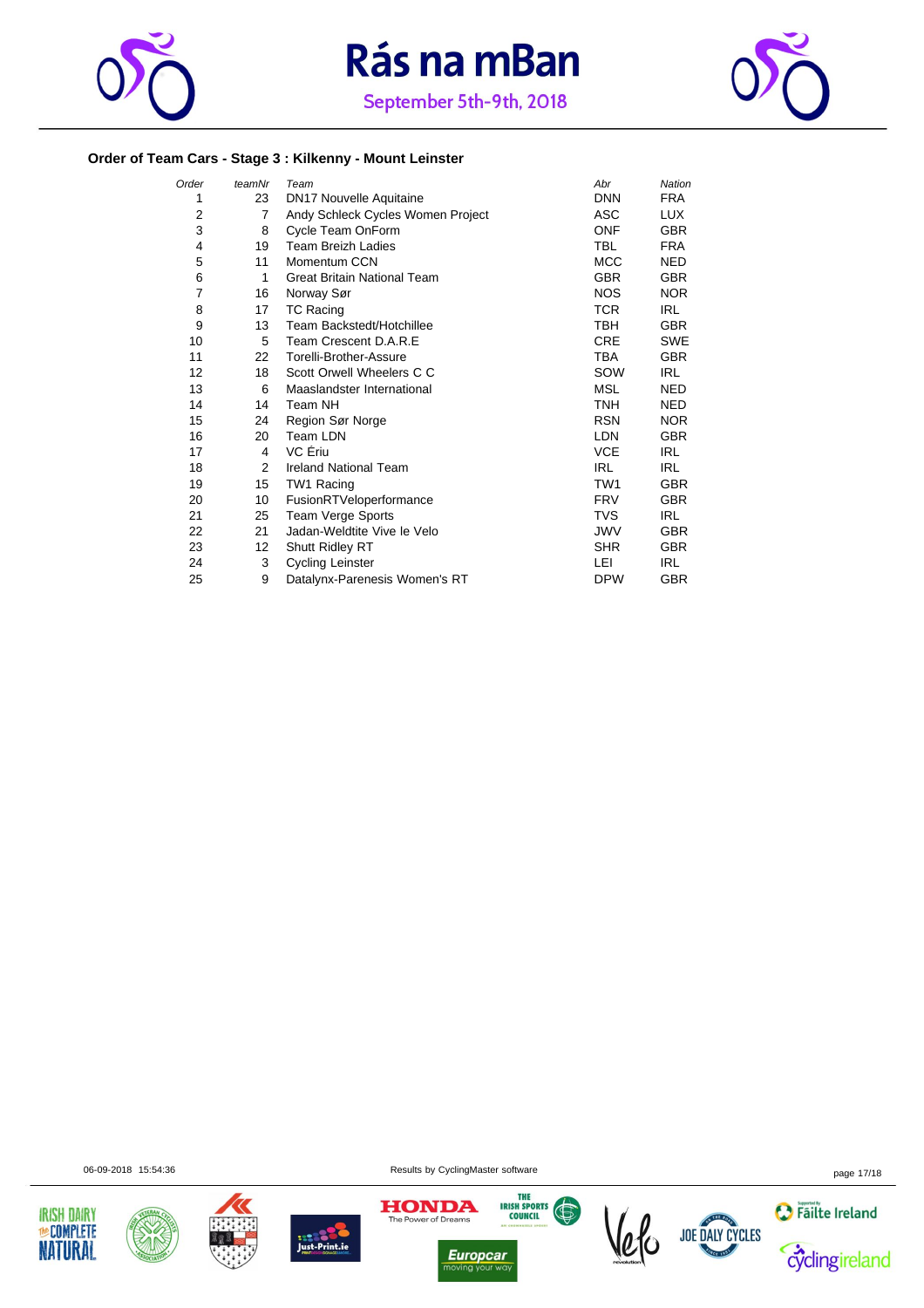





### **Order of Team Cars - Stage 3 : Kilkenny - Mount Leinster**

| Order | teamNr | Team                               | Abr             | Nation     |
|-------|--------|------------------------------------|-----------------|------------|
| 1     | 23     | <b>DN17 Nouvelle Aquitaine</b>     | <b>DNN</b>      | <b>FRA</b> |
| 2     | 7      | Andy Schleck Cycles Women Project  | ASC             | LUX.       |
| 3     | 8      | Cycle Team OnForm                  | <b>ONF</b>      | <b>GBR</b> |
| 4     | 19     | <b>Team Breizh Ladies</b>          | <b>TBL</b>      | <b>FRA</b> |
| 5     | 11     | Momentum CCN                       | <b>MCC</b>      | <b>NED</b> |
| 6     | 1      | <b>Great Britain National Team</b> | <b>GBR</b>      | <b>GBR</b> |
| 7     | 16     | Norway Sør                         | <b>NOS</b>      | NOR.       |
| 8     | 17     | <b>TC Racing</b>                   | <b>TCR</b>      | IRL        |
| 9     | 13     | Team Backstedt/Hotchillee          | TBH             | <b>GBR</b> |
| 10    | 5      | Team Crescent D.A.R.E              | <b>CRE</b>      | <b>SWE</b> |
| 11    | 22     | Torelli-Brother-Assure             | TBA             | <b>GBR</b> |
| 12    | 18     | Scott Orwell Wheelers C C          | SOW             | IRL.       |
| 13    | 6      | Maaslandster International         | <b>MSL</b>      | <b>NED</b> |
| 14    | 14     | Team NH                            | <b>TNH</b>      | <b>NED</b> |
| 15    | 24     | Region Sør Norge                   | <b>RSN</b>      | <b>NOR</b> |
| 16    | 20     | Team LDN                           | <b>LDN</b>      | <b>GBR</b> |
| 17    | 4      | VC Eriu                            | <b>VCE</b>      | IRL        |
| 18    | 2      | <b>Ireland National Team</b>       | <b>IRL</b>      | <b>IRL</b> |
| 19    | 15     | TW1 Racing                         | TW <sub>1</sub> | <b>GBR</b> |
| 20    | 10     | FusionRTVeloperformance            | <b>FRV</b>      | <b>GBR</b> |
| 21    | 25     | <b>Team Verge Sports</b>           | <b>TVS</b>      | <b>IRL</b> |
| 22    | 21     | Jadan-Weldtite Vive le Velo        | <b>JWV</b>      | <b>GBR</b> |
| 23    | 12     | Shutt Ridley RT                    | <b>SHR</b>      | <b>GBR</b> |
| 24    | 3      | <b>Cycling Leinster</b>            | LEI             | IRL        |
| 25    | 9      | Datalynx-Parenesis Women's RT      | <b>DPW</b>      | <b>GBR</b> |